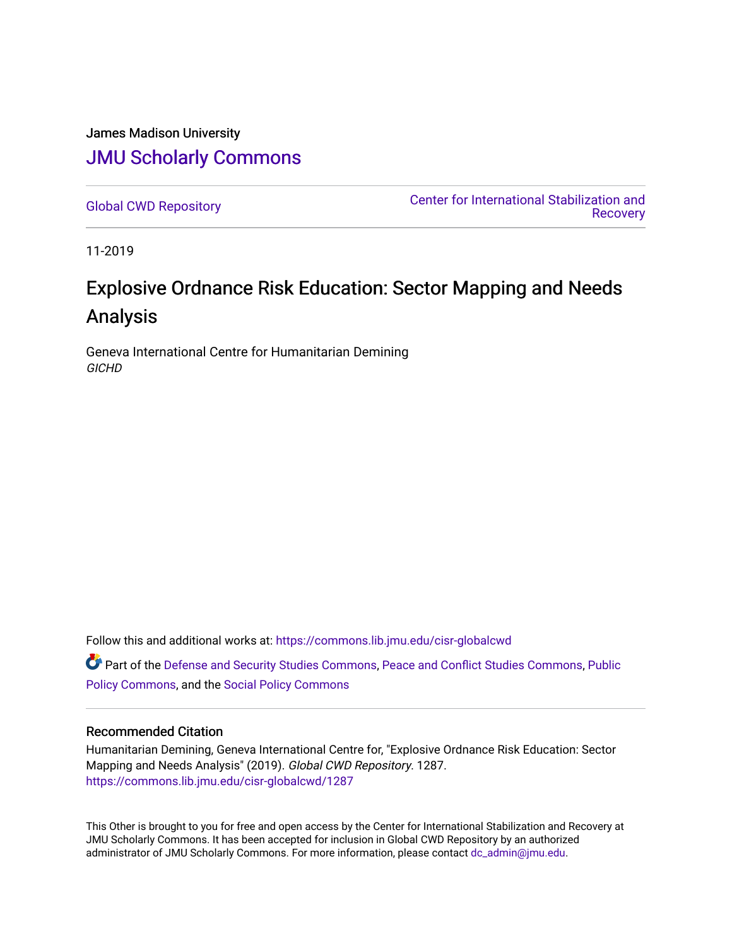James Madison University [JMU Scholarly Commons](https://commons.lib.jmu.edu/)

[Global CWD Repository](https://commons.lib.jmu.edu/cisr-globalcwd) [Center for International Stabilization and](https://commons.lib.jmu.edu/cisr)  [Recovery](https://commons.lib.jmu.edu/cisr) 

11-2019

# Explosive Ordnance Risk Education: Sector Mapping and Needs Analysis

Geneva International Centre for Humanitarian Demining **GICHD** 

Follow this and additional works at: [https://commons.lib.jmu.edu/cisr-globalcwd](https://commons.lib.jmu.edu/cisr-globalcwd?utm_source=commons.lib.jmu.edu%2Fcisr-globalcwd%2F1287&utm_medium=PDF&utm_campaign=PDFCoverPages)

Part of the [Defense and Security Studies Commons](http://network.bepress.com/hgg/discipline/394?utm_source=commons.lib.jmu.edu%2Fcisr-globalcwd%2F1287&utm_medium=PDF&utm_campaign=PDFCoverPages), [Peace and Conflict Studies Commons](http://network.bepress.com/hgg/discipline/397?utm_source=commons.lib.jmu.edu%2Fcisr-globalcwd%2F1287&utm_medium=PDF&utm_campaign=PDFCoverPages), [Public](http://network.bepress.com/hgg/discipline/400?utm_source=commons.lib.jmu.edu%2Fcisr-globalcwd%2F1287&utm_medium=PDF&utm_campaign=PDFCoverPages) [Policy Commons](http://network.bepress.com/hgg/discipline/400?utm_source=commons.lib.jmu.edu%2Fcisr-globalcwd%2F1287&utm_medium=PDF&utm_campaign=PDFCoverPages), and the [Social Policy Commons](http://network.bepress.com/hgg/discipline/1030?utm_source=commons.lib.jmu.edu%2Fcisr-globalcwd%2F1287&utm_medium=PDF&utm_campaign=PDFCoverPages)

#### Recommended Citation

Humanitarian Demining, Geneva International Centre for, "Explosive Ordnance Risk Education: Sector Mapping and Needs Analysis" (2019). Global CWD Repository. 1287. [https://commons.lib.jmu.edu/cisr-globalcwd/1287](https://commons.lib.jmu.edu/cisr-globalcwd/1287?utm_source=commons.lib.jmu.edu%2Fcisr-globalcwd%2F1287&utm_medium=PDF&utm_campaign=PDFCoverPages) 

This Other is brought to you for free and open access by the Center for International Stabilization and Recovery at JMU Scholarly Commons. It has been accepted for inclusion in Global CWD Repository by an authorized administrator of JMU Scholarly Commons. For more information, please contact [dc\\_admin@jmu.edu](mailto:dc_admin@jmu.edu).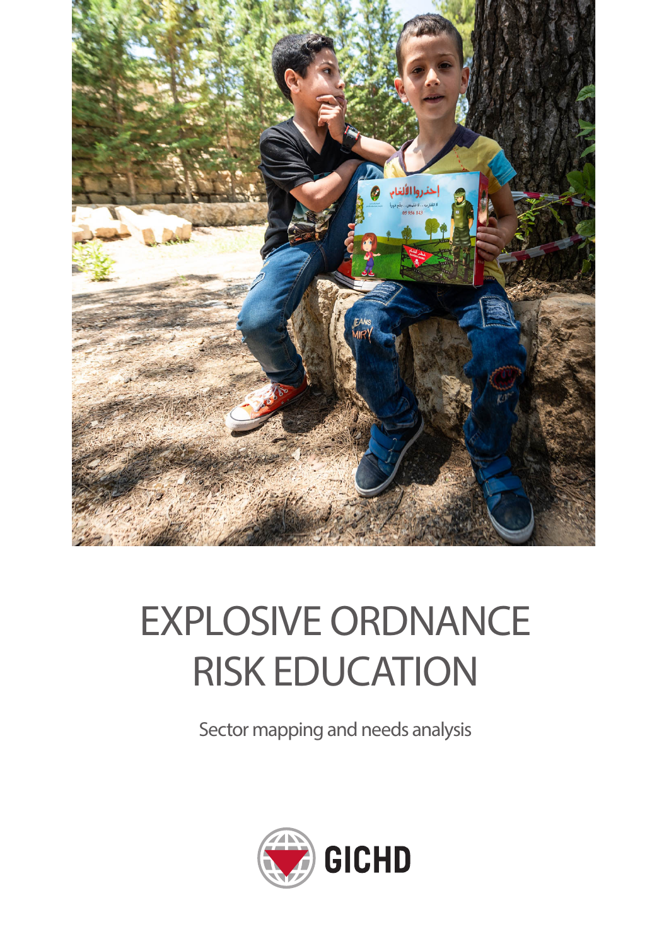

# EXPLOSIVE ORDNANCE RISK EDUCATION

Sector mapping and needs analysis

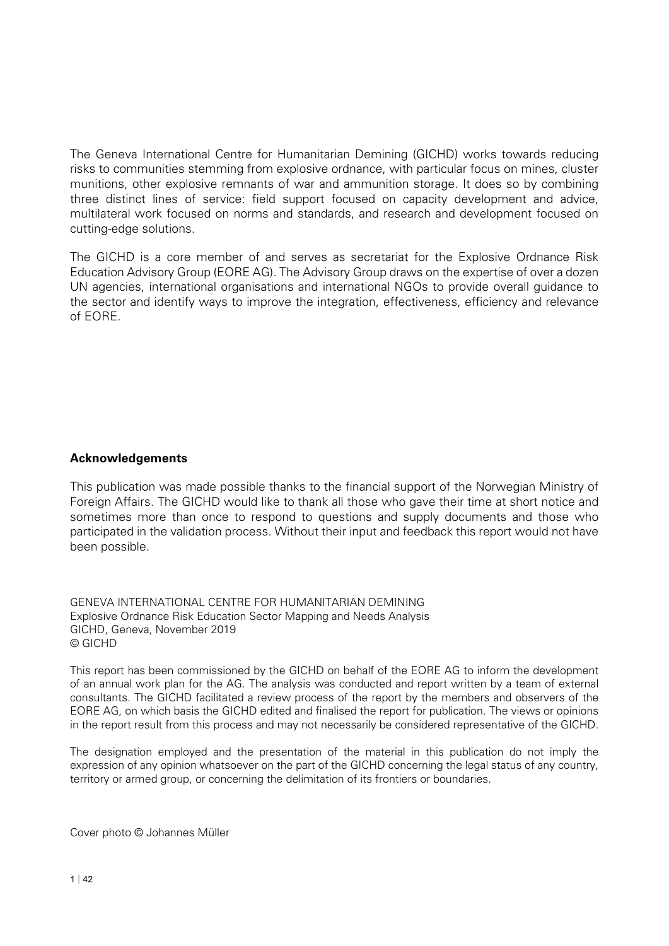The Geneva International Centre for Humanitarian Demining (GICHD) works towards reducing risks to communities stemming from explosive ordnance, with particular focus on mines, cluster munitions, other explosive remnants of war and ammunition storage. It does so by combining three distinct lines of service: field support focused on capacity development and advice, multilateral work focused on norms and standards, and research and development focused on cutting-edge solutions.

The GICHD is a core member of and serves as secretariat for the Explosive Ordnance Risk Education Advisory Group (EORE AG). The Advisory Group draws on the expertise of over a dozen UN agencies, international organisations and international NGOs to provide overall guidance to the sector and identify ways to improve the integration, effectiveness, efficiency and relevance of EORE.

#### **Acknowledgements**

This publication was made possible thanks to the financial support of the Norwegian Ministry of Foreign Affairs. The GICHD would like to thank all those who gave their time at short notice and sometimes more than once to respond to questions and supply documents and those who participated in the validation process. Without their input and feedback this report would not have been possible.

GENEVA INTERNATIONAL CENTRE FOR HUMANITARIAN DEMINING Explosive Ordnance Risk Education Sector Mapping and Needs Analysis GICHD, Geneva, November 2019 © GICHD

This report has been commissioned by the GICHD on behalf of the EORE AG to inform the development of an annual work plan for the AG. The analysis was conducted and report written by a team of external consultants. The GICHD facilitated a review process of the report by the members and observers of the EORE AG, on which basis the GICHD edited and finalised the report for publication. The views or opinions in the report result from this process and may not necessarily be considered representative of the GICHD.

The designation employed and the presentation of the material in this publication do not imply the expression of any opinion whatsoever on the part of the GICHD concerning the legal status of any country, territory or armed group, or concerning the delimitation of its frontiers or boundaries.

Cover photo © Johannes Müller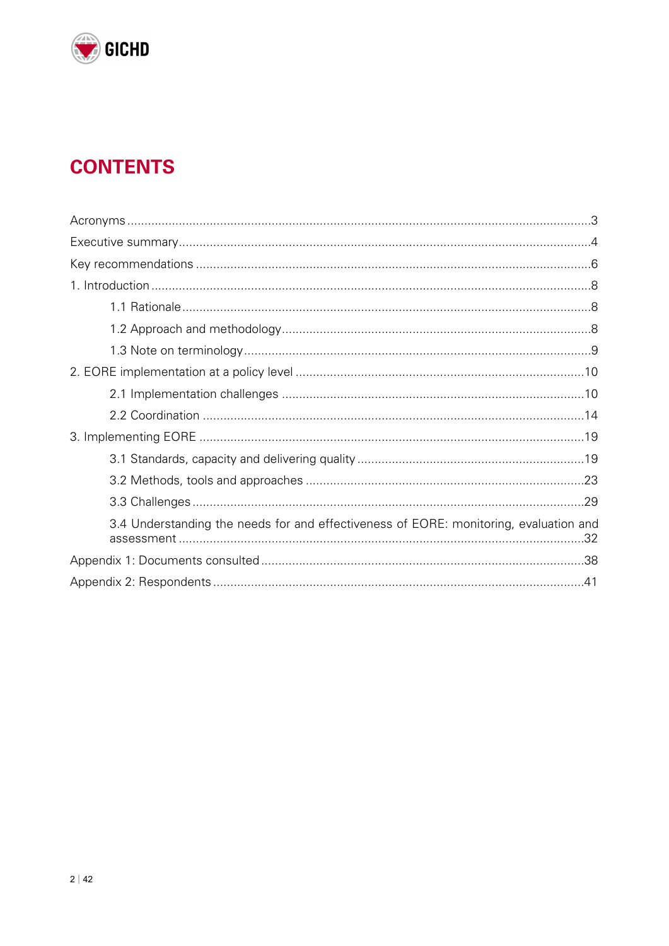

# **CONTENTS**

| 3.4 Understanding the needs for and effectiveness of EORE: monitoring, evaluation and |  |
|---------------------------------------------------------------------------------------|--|
|                                                                                       |  |
|                                                                                       |  |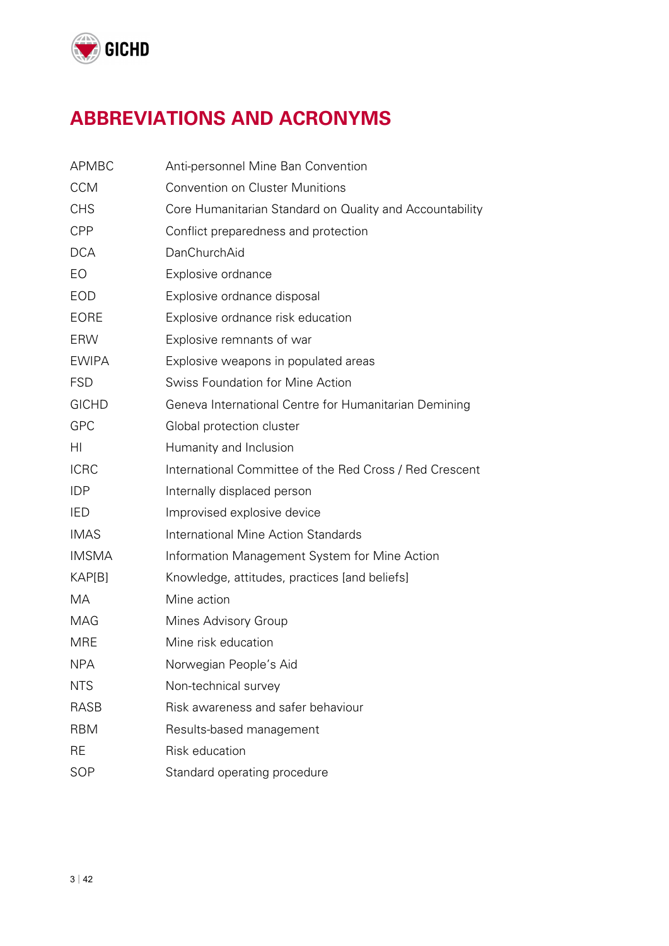

# **ABBREVIATIONS AND ACRONYMS**

| <b>APMBC</b> | Anti-personnel Mine Ban Convention                       |  |  |  |
|--------------|----------------------------------------------------------|--|--|--|
| <b>CCM</b>   | <b>Convention on Cluster Munitions</b>                   |  |  |  |
| <b>CHS</b>   | Core Humanitarian Standard on Quality and Accountability |  |  |  |
| <b>CPP</b>   | Conflict preparedness and protection                     |  |  |  |
| <b>DCA</b>   | DanChurchAid                                             |  |  |  |
| EO           | Explosive ordnance                                       |  |  |  |
| <b>EOD</b>   | Explosive ordnance disposal                              |  |  |  |
| <b>EORE</b>  | Explosive ordnance risk education                        |  |  |  |
| <b>ERW</b>   | Explosive remnants of war                                |  |  |  |
| <b>EWIPA</b> | Explosive weapons in populated areas                     |  |  |  |
| <b>FSD</b>   | <b>Swiss Foundation for Mine Action</b>                  |  |  |  |
| <b>GICHD</b> | Geneva International Centre for Humanitarian Demining    |  |  |  |
| <b>GPC</b>   | Global protection cluster                                |  |  |  |
| HI           | Humanity and Inclusion                                   |  |  |  |
| <b>ICRC</b>  | International Committee of the Red Cross / Red Crescent  |  |  |  |
| <b>IDP</b>   | Internally displaced person                              |  |  |  |
| <b>IED</b>   | Improvised explosive device                              |  |  |  |
| <b>IMAS</b>  | <b>International Mine Action Standards</b>               |  |  |  |
| <b>IMSMA</b> | Information Management System for Mine Action            |  |  |  |
| KAP[B]       | Knowledge, attitudes, practices [and beliefs]            |  |  |  |
| MA           | Mine action                                              |  |  |  |
| <b>MAG</b>   | Mines Advisory Group                                     |  |  |  |
| <b>MRE</b>   | Mine risk education                                      |  |  |  |
| <b>NPA</b>   | Norwegian People's Aid                                   |  |  |  |
| <b>NTS</b>   | Non-technical survey                                     |  |  |  |
| <b>RASB</b>  | Risk awareness and safer behaviour                       |  |  |  |
| <b>RBM</b>   | Results-based management                                 |  |  |  |
| RE           | Risk education                                           |  |  |  |
| SOP          | Standard operating procedure                             |  |  |  |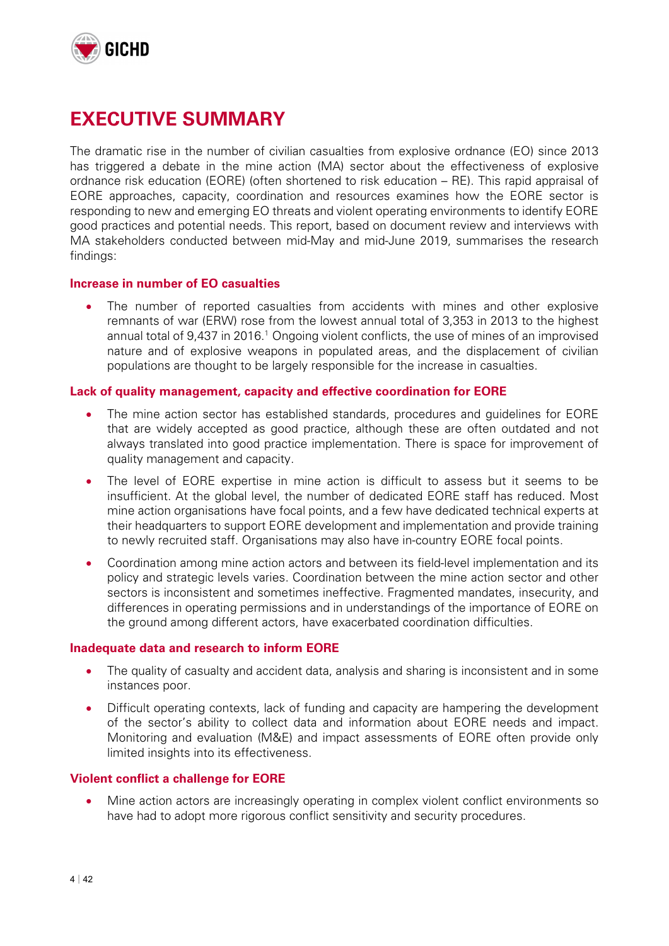

# **EXECUTIVE SUMMARY**

The dramatic rise in the number of civilian casualties from explosive ordnance (EO) since 2013 has triggered a debate in the mine action (MA) sector about the effectiveness of explosive ordnance risk education (EORE) (often shortened to risk education – RE). This rapid appraisal of EORE approaches, capacity, coordination and resources examines how the EORE sector is responding to new and emerging EO threats and violent operating environments to identify EORE good practices and potential needs. This report, based on document review and interviews with MA stakeholders conducted between mid-May and mid-June 2019, summarises the research findings:

#### **Increase in number of EO casualties**

 The number of reported casualties from accidents with mines and other explosive remnants of war (ERW) rose from the lowest annual total of 3,353 in 2013 to the highest annual total of 9,437 in 2016.<sup>1</sup> Ongoing violent conflicts, the use of mines of an improvised nature and of explosive weapons in populated areas, and the displacement of civilian populations are thought to be largely responsible for the increase in casualties.

#### **Lack of quality management, capacity and effective coordination for EORE**

- The mine action sector has established standards, procedures and guidelines for EORE that are widely accepted as good practice, although these are often outdated and not always translated into good practice implementation. There is space for improvement of quality management and capacity.
- The level of EORE expertise in mine action is difficult to assess but it seems to be insufficient. At the global level, the number of dedicated EORE staff has reduced. Most mine action organisations have focal points, and a few have dedicated technical experts at their headquarters to support EORE development and implementation and provide training to newly recruited staff. Organisations may also have in-country EORE focal points.
- Coordination among mine action actors and between its field-level implementation and its policy and strategic levels varies. Coordination between the mine action sector and other sectors is inconsistent and sometimes ineffective. Fragmented mandates, insecurity, and differences in operating permissions and in understandings of the importance of EORE on the ground among different actors, have exacerbated coordination difficulties.

#### **Inadequate data and research to inform EORE**

- The quality of casualty and accident data, analysis and sharing is inconsistent and in some instances poor.
- Difficult operating contexts, lack of funding and capacity are hampering the development of the sector's ability to collect data and information about EORE needs and impact. Monitoring and evaluation (M&E) and impact assessments of EORE often provide only limited insights into its effectiveness.

#### **Violent conflict a challenge for EORE**

 Mine action actors are increasingly operating in complex violent conflict environments so have had to adopt more rigorous conflict sensitivity and security procedures.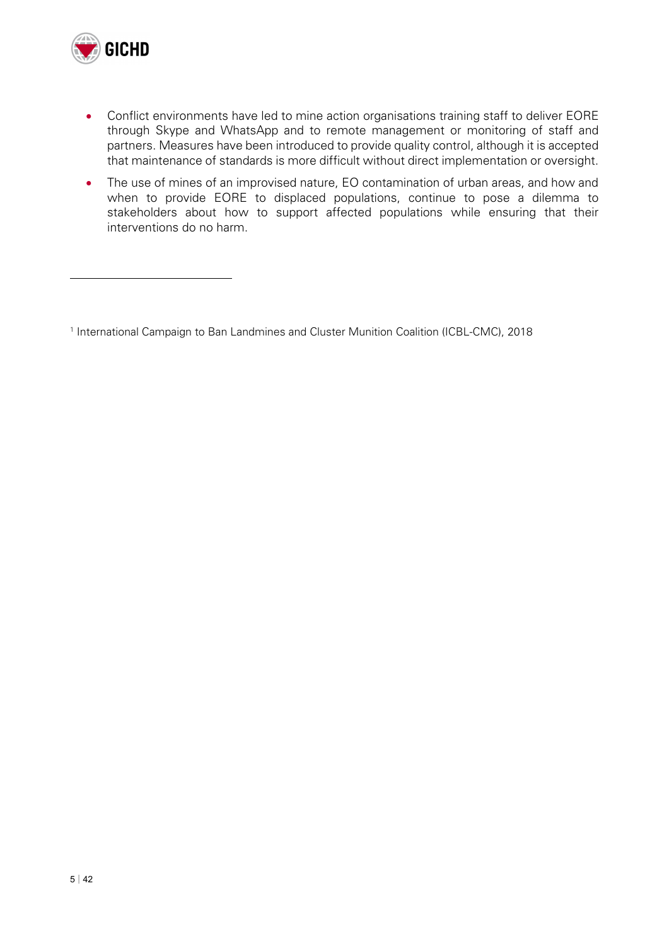

 $\overline{a}$ 

- Conflict environments have led to mine action organisations training staff to deliver EORE through Skype and WhatsApp and to remote management or monitoring of staff and partners. Measures have been introduced to provide quality control, although it is accepted that maintenance of standards is more difficult without direct implementation or oversight.
- The use of mines of an improvised nature, EO contamination of urban areas, and how and when to provide EORE to displaced populations, continue to pose a dilemma to stakeholders about how to support affected populations while ensuring that their interventions do no harm.

<sup>&</sup>lt;sup>1</sup> International Campaign to Ban Landmines and Cluster Munition Coalition (ICBL-CMC), 2018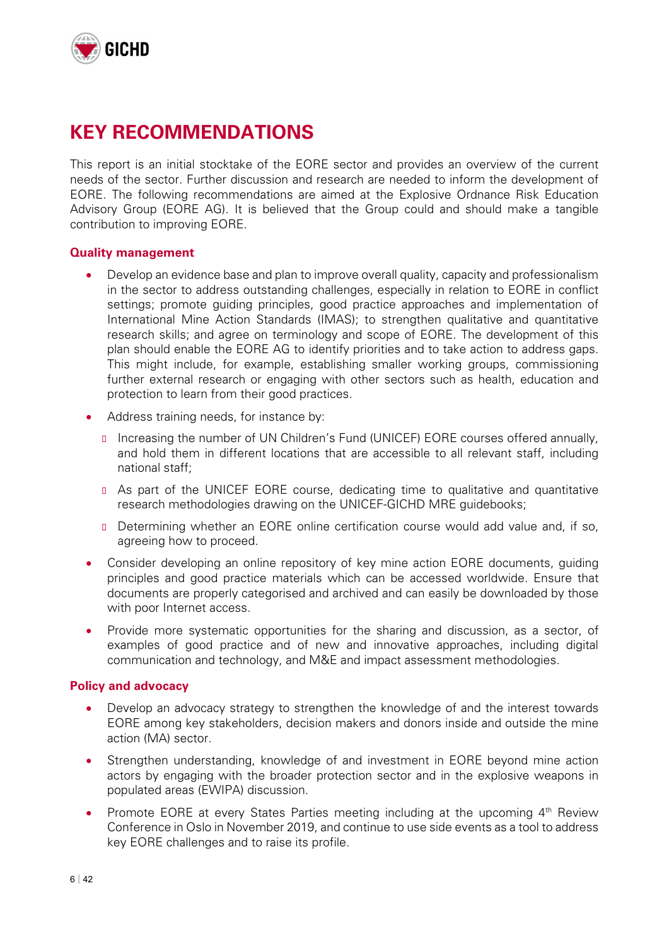

## **KEY RECOMMENDATIONS**

This report is an initial stocktake of the EORE sector and provides an overview of the current needs of the sector. Further discussion and research are needed to inform the development of EORE. The following recommendations are aimed at the Explosive Ordnance Risk Education Advisory Group (EORE AG). It is believed that the Group could and should make a tangible contribution to improving EORE.

#### **Quality management**

- Develop an evidence base and plan to improve overall quality, capacity and professionalism in the sector to address outstanding challenges, especially in relation to EORE in conflict settings; promote guiding principles, good practice approaches and implementation of International Mine Action Standards (IMAS); to strengthen qualitative and quantitative research skills; and agree on terminology and scope of EORE. The development of this plan should enable the EORE AG to identify priorities and to take action to address gaps. This might include, for example, establishing smaller working groups, commissioning further external research or engaging with other sectors such as health, education and protection to learn from their good practices.
- Address training needs, for instance by:
	- Increasing the number of UN Children's Fund (UNICEF) EORE courses offered annually, and hold them in different locations that are accessible to all relevant staff, including national staff;
	- As part of the UNICEF EORE course, dedicating time to qualitative and quantitative research methodologies drawing on the UNICEF-GICHD MRE guidebooks;
	- Determining whether an EORE online certification course would add value and, if so, agreeing how to proceed.
- Consider developing an online repository of key mine action EORE documents, guiding principles and good practice materials which can be accessed worldwide. Ensure that documents are properly categorised and archived and can easily be downloaded by those with poor Internet access.
- Provide more systematic opportunities for the sharing and discussion, as a sector, of examples of good practice and of new and innovative approaches, including digital communication and technology, and M&E and impact assessment methodologies.

#### **Policy and advocacy**

- Develop an advocacy strategy to strengthen the knowledge of and the interest towards EORE among key stakeholders, decision makers and donors inside and outside the mine action (MA) sector.
- Strengthen understanding, knowledge of and investment in EORE beyond mine action actors by engaging with the broader protection sector and in the explosive weapons in populated areas (EWIPA) discussion.
- Promote EORE at every States Parties meeting including at the upcoming  $4<sup>th</sup>$  Review Conference in Oslo in November 2019, and continue to use side events as a tool to address key EORE challenges and to raise its profile.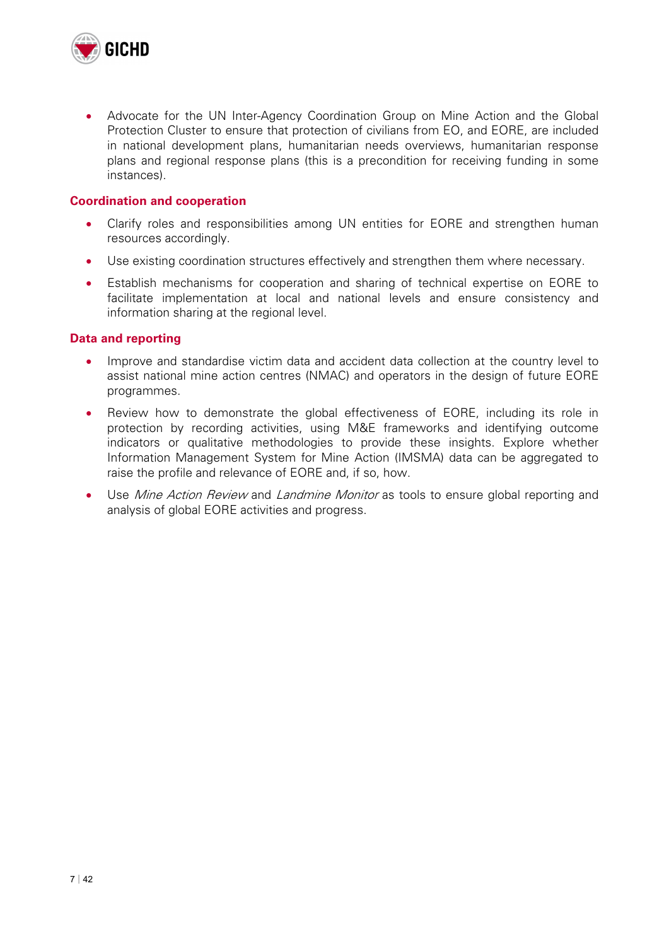

 Advocate for the UN Inter-Agency Coordination Group on Mine Action and the Global Protection Cluster to ensure that protection of civilians from EO, and EORE, are included in national development plans, humanitarian needs overviews, humanitarian response plans and regional response plans (this is a precondition for receiving funding in some instances).

#### **Coordination and cooperation**

- Clarify roles and responsibilities among UN entities for EORE and strengthen human resources accordingly.
- Use existing coordination structures effectively and strengthen them where necessary.
- Establish mechanisms for cooperation and sharing of technical expertise on EORE to facilitate implementation at local and national levels and ensure consistency and information sharing at the regional level.

#### **Data and reporting**

- Improve and standardise victim data and accident data collection at the country level to assist national mine action centres (NMAC) and operators in the design of future EORE programmes.
- Review how to demonstrate the global effectiveness of EORE, including its role in protection by recording activities, using M&E frameworks and identifying outcome indicators or qualitative methodologies to provide these insights. Explore whether Information Management System for Mine Action (IMSMA) data can be aggregated to raise the profile and relevance of EORE and, if so, how.
- Use Mine Action Review and Landmine Monitor as tools to ensure global reporting and analysis of global EORE activities and progress.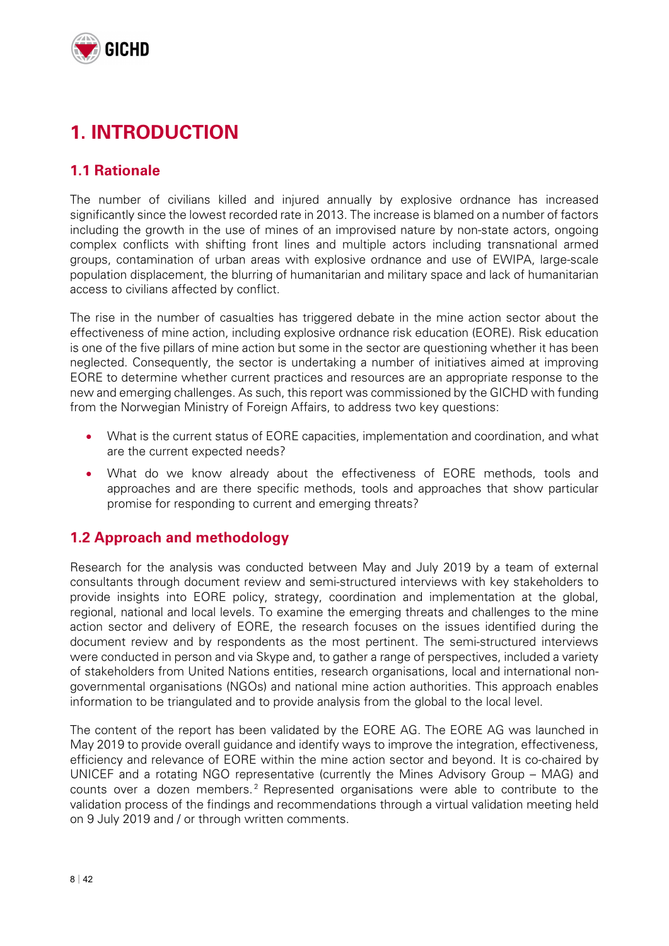

# **1. INTRODUCTION**

### **1.1 Rationale**

The number of civilians killed and injured annually by explosive ordnance has increased significantly since the lowest recorded rate in 2013. The increase is blamed on a number of factors including the growth in the use of mines of an improvised nature by non-state actors, ongoing complex conflicts with shifting front lines and multiple actors including transnational armed groups, contamination of urban areas with explosive ordnance and use of EWIPA, large-scale population displacement, the blurring of humanitarian and military space and lack of humanitarian access to civilians affected by conflict.

The rise in the number of casualties has triggered debate in the mine action sector about the effectiveness of mine action, including explosive ordnance risk education (EORE). Risk education is one of the five pillars of mine action but some in the sector are questioning whether it has been neglected. Consequently, the sector is undertaking a number of initiatives aimed at improving EORE to determine whether current practices and resources are an appropriate response to the new and emerging challenges. As such, this report was commissioned by the GICHD with funding from the Norwegian Ministry of Foreign Affairs, to address two key questions:

- What is the current status of EORE capacities, implementation and coordination, and what are the current expected needs?
- What do we know already about the effectiveness of EORE methods, tools and approaches and are there specific methods, tools and approaches that show particular promise for responding to current and emerging threats?

### **1.2 Approach and methodology**

Research for the analysis was conducted between May and July 2019 by a team of external consultants through document review and semi-structured interviews with key stakeholders to provide insights into EORE policy, strategy, coordination and implementation at the global, regional, national and local levels. To examine the emerging threats and challenges to the mine action sector and delivery of EORE, the research focuses on the issues identified during the document review and by respondents as the most pertinent. The semi-structured interviews were conducted in person and via Skype and, to gather a range of perspectives, included a variety of stakeholders from United Nations entities, research organisations, local and international nongovernmental organisations (NGOs) and national mine action authorities. This approach enables information to be triangulated and to provide analysis from the global to the local level.

The content of the report has been validated by the EORE AG. The EORE AG was launched in May 2019 to provide overall guidance and identify ways to improve the integration, effectiveness, efficiency and relevance of EORE within the mine action sector and beyond. It is co-chaired by UNICEF and a rotating NGO representative (currently the Mines Advisory Group – MAG) and counts over a dozen members.<sup>2</sup> Represented organisations were able to contribute to the validation process of the findings and recommendations through a virtual validation meeting held on 9 July 2019 and / or through written comments.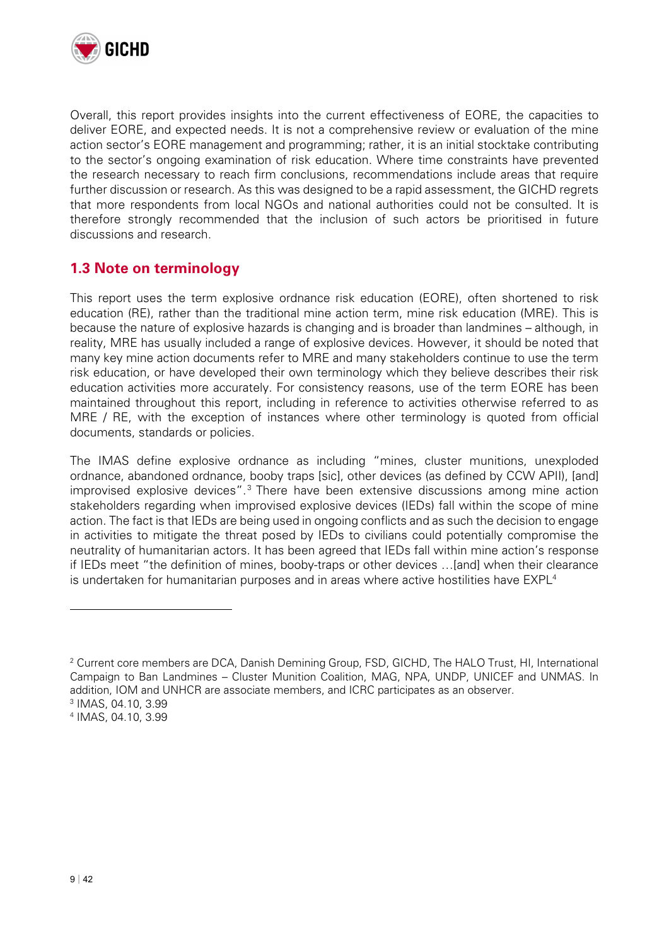

Overall, this report provides insights into the current effectiveness of EORE, the capacities to deliver EORE, and expected needs. It is not a comprehensive review or evaluation of the mine action sector's EORE management and programming; rather, it is an initial stocktake contributing to the sector's ongoing examination of risk education. Where time constraints have prevented the research necessary to reach firm conclusions, recommendations include areas that require further discussion or research. As this was designed to be a rapid assessment, the GICHD regrets that more respondents from local NGOs and national authorities could not be consulted. It is therefore strongly recommended that the inclusion of such actors be prioritised in future discussions and research.

### **1.3 Note on terminology**

This report uses the term explosive ordnance risk education (EORE), often shortened to risk education (RE), rather than the traditional mine action term, mine risk education (MRE). This is because the nature of explosive hazards is changing and is broader than landmines – although, in reality, MRE has usually included a range of explosive devices. However, it should be noted that many key mine action documents refer to MRE and many stakeholders continue to use the term risk education, or have developed their own terminology which they believe describes their risk education activities more accurately. For consistency reasons, use of the term EORE has been maintained throughout this report, including in reference to activities otherwise referred to as MRE / RE, with the exception of instances where other terminology is quoted from official documents, standards or policies.

The IMAS define explosive ordnance as including "mines, cluster munitions, unexploded ordnance, abandoned ordnance, booby traps [sic], other devices (as defined by CCW APII), [and] improvised explosive devices".<sup>3</sup> There have been extensive discussions among mine action stakeholders regarding when improvised explosive devices (IEDs) fall within the scope of mine action. The fact is that IEDs are being used in ongoing conflicts and as such the decision to engage in activities to mitigate the threat posed by IEDs to civilians could potentially compromise the neutrality of humanitarian actors. It has been agreed that IEDs fall within mine action's response if IEDs meet "the definition of mines, booby-traps or other devices …[and] when their clearance is undertaken for humanitarian purposes and in areas where active hostilities have  $EXPL<sup>4</sup>$ 

4 IMAS, 04.10, 3.99

 $\overline{a}$ 

<sup>2</sup> Current core members are DCA, Danish Demining Group, FSD, GICHD, The HALO Trust, HI, International Campaign to Ban Landmines – Cluster Munition Coalition, MAG, NPA, UNDP, UNICEF and UNMAS. In addition, IOM and UNHCR are associate members, and ICRC participates as an observer. 3 <sup>3</sup> IMAS, 04.10, 3.99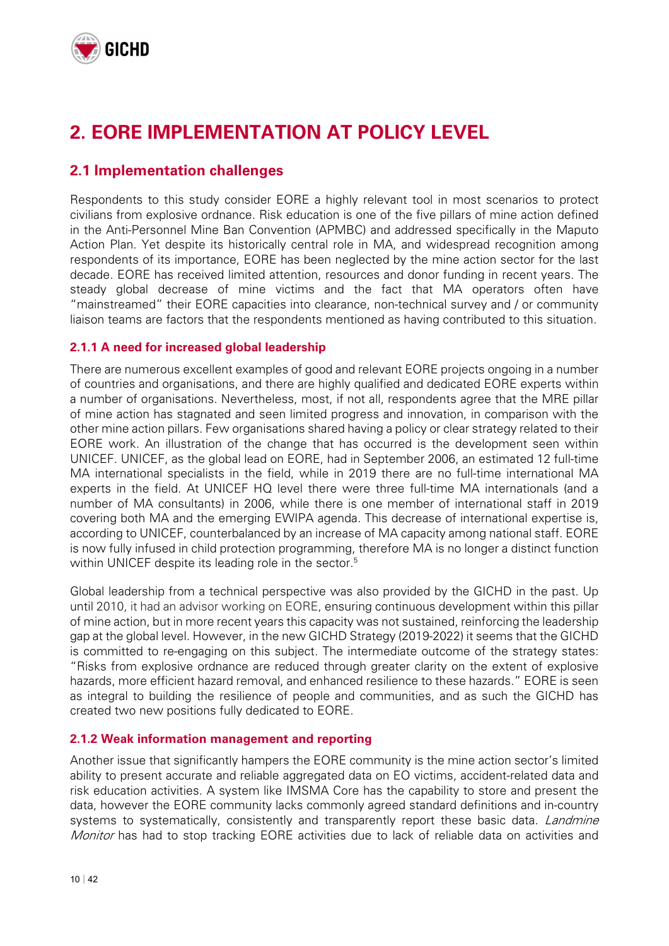

# **2. EORE IMPLEMENTATION AT POLICY LEVEL**

### **2.1 Implementation challenges**

Respondents to this study consider EORE a highly relevant tool in most scenarios to protect civilians from explosive ordnance. Risk education is one of the five pillars of mine action defined in the Anti-Personnel Mine Ban Convention (APMBC) and addressed specifically in the Maputo Action Plan. Yet despite its historically central role in MA, and widespread recognition among respondents of its importance, EORE has been neglected by the mine action sector for the last decade. EORE has received limited attention, resources and donor funding in recent years. The steady global decrease of mine victims and the fact that MA operators often have "mainstreamed" their EORE capacities into clearance, non-technical survey and / or community liaison teams are factors that the respondents mentioned as having contributed to this situation.

#### **2.1.1 A need for increased global leadership**

There are numerous excellent examples of good and relevant EORE projects ongoing in a number of countries and organisations, and there are highly qualified and dedicated EORE experts within a number of organisations. Nevertheless, most, if not all, respondents agree that the MRE pillar of mine action has stagnated and seen limited progress and innovation, in comparison with the other mine action pillars. Few organisations shared having a policy or clear strategy related to their EORE work. An illustration of the change that has occurred is the development seen within UNICEF. UNICEF, as the global lead on EORE, had in September 2006, an estimated 12 full-time MA international specialists in the field, while in 2019 there are no full-time international MA experts in the field. At UNICEF HQ level there were three full-time MA internationals (and a number of MA consultants) in 2006, while there is one member of international staff in 2019 covering both MA and the emerging EWIPA agenda. This decrease of international expertise is, according to UNICEF, counterbalanced by an increase of MA capacity among national staff. EORE is now fully infused in child protection programming, therefore MA is no longer a distinct function within UNICEF despite its leading role in the sector.<sup>5</sup>

Global leadership from a technical perspective was also provided by the GICHD in the past. Up until 2010, it had an advisor working on EORE, ensuring continuous development within this pillar of mine action, but in more recent years this capacity was not sustained, reinforcing the leadership gap at the global level. However, in the new GICHD Strategy (2019-2022) it seems that the GICHD is committed to re-engaging on this subject. The intermediate outcome of the strategy states: "Risks from explosive ordnance are reduced through greater clarity on the extent of explosive hazards, more efficient hazard removal, and enhanced resilience to these hazards." EORE is seen as integral to building the resilience of people and communities, and as such the GICHD has created two new positions fully dedicated to EORE.

#### **2.1.2 Weak information management and reporting**

Another issue that significantly hampers the EORE community is the mine action sector's limited ability to present accurate and reliable aggregated data on EO victims, accident-related data and risk education activities. A system like IMSMA Core has the capability to store and present the data, however the EORE community lacks commonly agreed standard definitions and in-country systems to systematically, consistently and transparently report these basic data. *Landmine Monitor* has had to stop tracking EORE activities due to lack of reliable data on activities and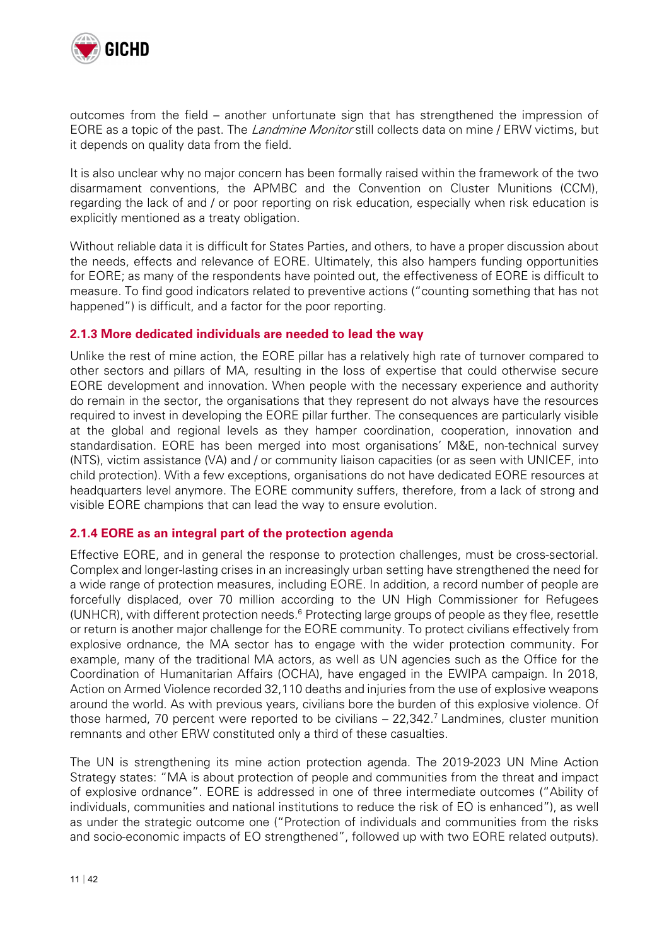

outcomes from the field – another unfortunate sign that has strengthened the impression of EORE as a topic of the past. The *Landmine Monitor* still collects data on mine / ERW victims, but it depends on quality data from the field.

It is also unclear why no major concern has been formally raised within the framework of the two disarmament conventions, the APMBC and the Convention on Cluster Munitions (CCM), regarding the lack of and / or poor reporting on risk education, especially when risk education is explicitly mentioned as a treaty obligation.

Without reliable data it is difficult for States Parties, and others, to have a proper discussion about the needs, effects and relevance of EORE. Ultimately, this also hampers funding opportunities for EORE; as many of the respondents have pointed out, the effectiveness of EORE is difficult to measure. To find good indicators related to preventive actions ("counting something that has not happened") is difficult, and a factor for the poor reporting.

#### **2.1.3 More dedicated individuals are needed to lead the way**

Unlike the rest of mine action, the EORE pillar has a relatively high rate of turnover compared to other sectors and pillars of MA, resulting in the loss of expertise that could otherwise secure EORE development and innovation. When people with the necessary experience and authority do remain in the sector, the organisations that they represent do not always have the resources required to invest in developing the EORE pillar further. The consequences are particularly visible at the global and regional levels as they hamper coordination, cooperation, innovation and standardisation. EORE has been merged into most organisations' M&E, non-technical survey (NTS), victim assistance (VA) and / or community liaison capacities (or as seen with UNICEF, into child protection). With a few exceptions, organisations do not have dedicated EORE resources at headquarters level anymore. The EORE community suffers, therefore, from a lack of strong and visible EORE champions that can lead the way to ensure evolution.

#### **2.1.4 EORE as an integral part of the protection agenda**

Effective EORE, and in general the response to protection challenges, must be cross-sectorial. Complex and longer-lasting crises in an increasingly urban setting have strengthened the need for a wide range of protection measures, including EORE. In addition, a record number of people are forcefully displaced, over 70 million according to the UN High Commissioner for Refugees (UNHCR), with different protection needs.<sup>6</sup> Protecting large groups of people as they flee, resettle or return is another major challenge for the EORE community. To protect civilians effectively from explosive ordnance, the MA sector has to engage with the wider protection community. For example, many of the traditional MA actors, as well as UN agencies such as the Office for the Coordination of Humanitarian Affairs (OCHA), have engaged in the EWIPA campaign. In 2018, Action on Armed Violence recorded 32,110 deaths and injuries from the use of explosive weapons around the world. As with previous years, civilians bore the burden of this explosive violence. Of those harmed, 70 percent were reported to be civilians - 22,342.<sup>7</sup> Landmines, cluster munition remnants and other ERW constituted only a third of these casualties.

The UN is strengthening its mine action protection agenda. The 2019-2023 UN Mine Action Strategy states: "MA is about protection of people and communities from the threat and impact of explosive ordnance". EORE is addressed in one of three intermediate outcomes ("Ability of individuals, communities and national institutions to reduce the risk of EO is enhanced"), as well as under the strategic outcome one ("Protection of individuals and communities from the risks and socio-economic impacts of EO strengthened", followed up with two EORE related outputs).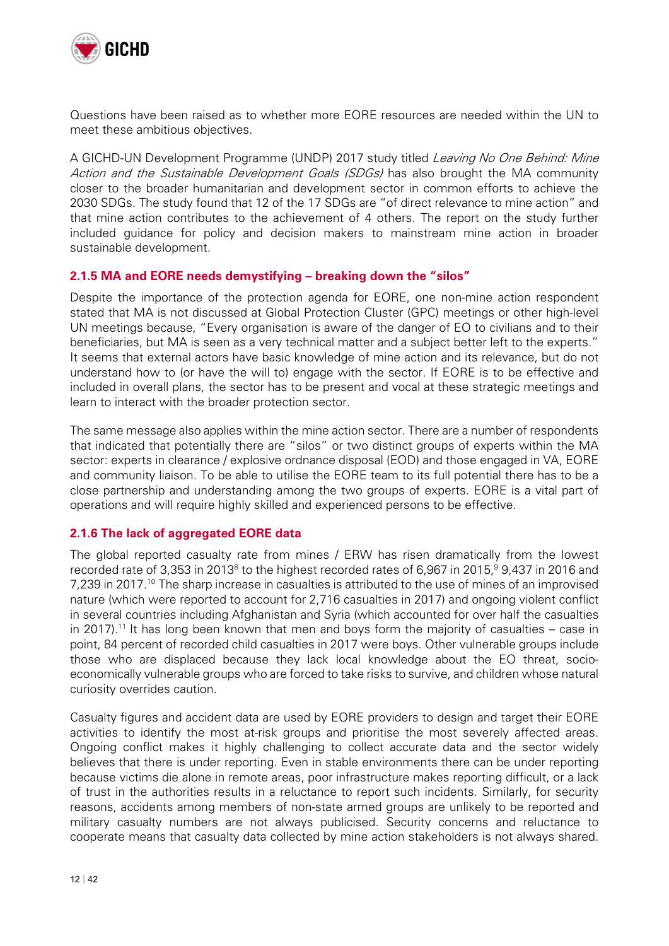

Questions have been raised as to whether more EORE resources are needed within the UN to meet these ambitious objectives.

A GICHD-UN Development Programme (UNDP) 2017 study titled Leaving No One Behind: Mine Action and the Sustainable Development Goals (SDGs) has also brought the MA community closer to the broader humanitarian and development sector in common efforts to achieve the 2030 SDGs. The study found that 12 of the 17 SDGs are "of direct relevance to mine action" and that mine action contributes to the achievement of 4 others. The report on the study further included guidance for policy and decision makers to mainstream mine action in broader sustainable development.

#### **2.1.5 MA and EORE needs demystifying – breaking down the "silos"**

Despite the importance of the protection agenda for EORE, one non-mine action respondent stated that MA is not discussed at Global Protection Cluster (GPC) meetings or other high-level UN meetings because, "Every organisation is aware of the danger of EO to civilians and to their beneficiaries, but MA is seen as a very technical matter and a subject better left to the experts." It seems that external actors have basic knowledge of mine action and its relevance, but do not understand how to (or have the will to) engage with the sector. If EORE is to be effective and included in overall plans, the sector has to be present and vocal at these strategic meetings and learn to interact with the broader protection sector.

The same message also applies within the mine action sector. There are a number of respondents that indicated that potentially there are "silos" or two distinct groups of experts within the MA sector: experts in clearance / explosive ordnance disposal (EOD) and those engaged in VA, EORE and community liaison. To be able to utilise the EORE team to its full potential there has to be a close partnership and understanding among the two groups of experts. EORE is a vital part of operations and will require highly skilled and experienced persons to be effective.

#### **2.1.6 The lack of aggregated EORE data**

The global reported casualty rate from mines / ERW has risen dramatically from the lowest recorded rate of 3,353 in 2013<sup>8</sup> to the highest recorded rates of 6,967 in 2015,<sup>9</sup> 9,437 in 2016 and 7,239 in 2017.10 The sharp increase in casualties is attributed to the use of mines of an improvised nature (which were reported to account for 2,716 casualties in 2017) and ongoing violent conflict in several countries including Afghanistan and Syria (which accounted for over half the casualties in 2017).<sup>11</sup> It has long been known that men and boys form the majority of casualties  $-$  case in point, 84 percent of recorded child casualties in 2017 were boys. Other vulnerable groups include those who are displaced because they lack local knowledge about the EO threat, socioeconomically vulnerable groups who are forced to take risks to survive, and children whose natural curiosity overrides caution.

Casualty figures and accident data are used by EORE providers to design and target their EORE activities to identify the most at-risk groups and prioritise the most severely affected areas. Ongoing conflict makes it highly challenging to collect accurate data and the sector widely believes that there is under reporting. Even in stable environments there can be under reporting because victims die alone in remote areas, poor infrastructure makes reporting difficult, or a lack of trust in the authorities results in a reluctance to report such incidents. Similarly, for security reasons, accidents among members of non-state armed groups are unlikely to be reported and military casualty numbers are not always publicised. Security concerns and reluctance to cooperate means that casualty data collected by mine action stakeholders is not always shared.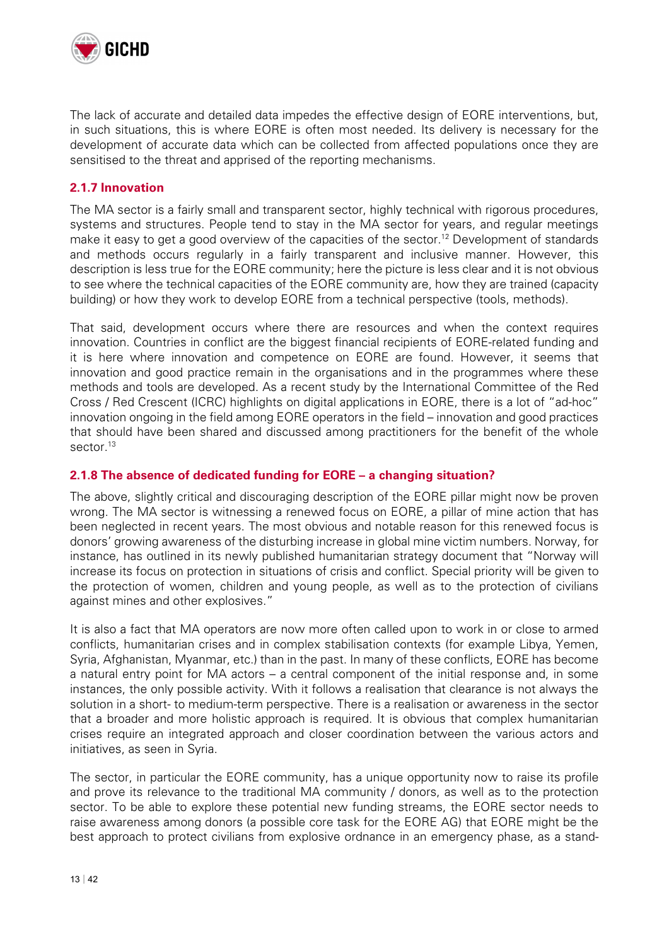

The lack of accurate and detailed data impedes the effective design of EORE interventions, but, in such situations, this is where EORE is often most needed. Its delivery is necessary for the development of accurate data which can be collected from affected populations once they are sensitised to the threat and apprised of the reporting mechanisms.

#### **2.1.7 Innovation**

The MA sector is a fairly small and transparent sector, highly technical with rigorous procedures, systems and structures. People tend to stay in the MA sector for years, and regular meetings make it easy to get a good overview of the capacities of the sector.<sup>12</sup> Development of standards and methods occurs regularly in a fairly transparent and inclusive manner. However, this description is less true for the EORE community; here the picture is less clear and it is not obvious to see where the technical capacities of the EORE community are, how they are trained (capacity building) or how they work to develop EORE from a technical perspective (tools, methods).

That said, development occurs where there are resources and when the context requires innovation. Countries in conflict are the biggest financial recipients of EORE-related funding and it is here where innovation and competence on EORE are found. However, it seems that innovation and good practice remain in the organisations and in the programmes where these methods and tools are developed. As a recent study by the International Committee of the Red Cross / Red Crescent (ICRC) highlights on digital applications in EORE, there is a lot of "ad-hoc" innovation ongoing in the field among EORE operators in the field – innovation and good practices that should have been shared and discussed among practitioners for the benefit of the whole sector.<sup>13</sup>

#### **2.1.8 The absence of dedicated funding for EORE – a changing situation?**

The above, slightly critical and discouraging description of the EORE pillar might now be proven wrong. The MA sector is witnessing a renewed focus on EORE, a pillar of mine action that has been neglected in recent years. The most obvious and notable reason for this renewed focus is donors' growing awareness of the disturbing increase in global mine victim numbers. Norway, for instance, has outlined in its newly published humanitarian strategy document that "Norway will increase its focus on protection in situations of crisis and conflict. Special priority will be given to the protection of women, children and young people, as well as to the protection of civilians against mines and other explosives."

It is also a fact that MA operators are now more often called upon to work in or close to armed conflicts, humanitarian crises and in complex stabilisation contexts (for example Libya, Yemen, Syria, Afghanistan, Myanmar, etc.) than in the past. In many of these conflicts, EORE has become a natural entry point for MA actors – a central component of the initial response and, in some instances, the only possible activity. With it follows a realisation that clearance is not always the solution in a short- to medium-term perspective. There is a realisation or awareness in the sector that a broader and more holistic approach is required. It is obvious that complex humanitarian crises require an integrated approach and closer coordination between the various actors and initiatives, as seen in Syria.

The sector, in particular the EORE community, has a unique opportunity now to raise its profile and prove its relevance to the traditional MA community / donors, as well as to the protection sector. To be able to explore these potential new funding streams, the EORE sector needs to raise awareness among donors (a possible core task for the EORE AG) that EORE might be the best approach to protect civilians from explosive ordnance in an emergency phase, as a stand-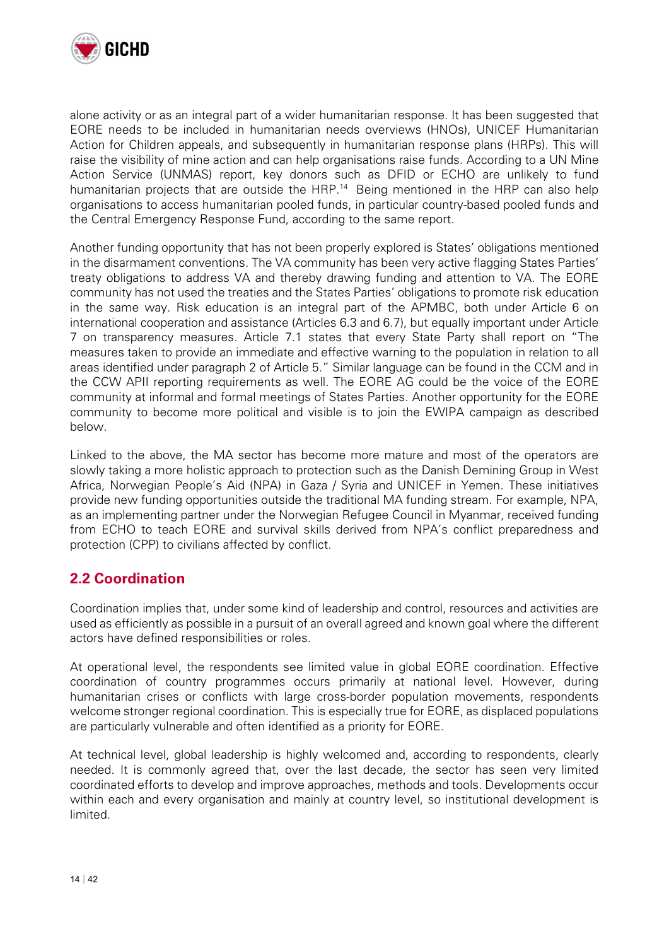

alone activity or as an integral part of a wider humanitarian response. It has been suggested that EORE needs to be included in humanitarian needs overviews (HNOs), UNICEF Humanitarian Action for Children appeals, and subsequently in humanitarian response plans (HRPs). This will raise the visibility of mine action and can help organisations raise funds. According to a UN Mine Action Service (UNMAS) report, key donors such as DFID or ECHO are unlikely to fund humanitarian projects that are outside the HRP.<sup>14</sup> Being mentioned in the HRP can also help organisations to access humanitarian pooled funds, in particular country-based pooled funds and the Central Emergency Response Fund, according to the same report.

Another funding opportunity that has not been properly explored is States' obligations mentioned in the disarmament conventions. The VA community has been very active flagging States Parties' treaty obligations to address VA and thereby drawing funding and attention to VA. The EORE community has not used the treaties and the States Parties' obligations to promote risk education in the same way. Risk education is an integral part of the APMBC, both under Article 6 on international cooperation and assistance (Articles 6.3 and 6.7), but equally important under Article 7 on transparency measures. Article 7.1 states that every State Party shall report on "The measures taken to provide an immediate and effective warning to the population in relation to all areas identified under paragraph 2 of Article 5." Similar language can be found in the CCM and in the CCW APII reporting requirements as well. The EORE AG could be the voice of the EORE community at informal and formal meetings of States Parties. Another opportunity for the EORE community to become more political and visible is to join the EWIPA campaign as described below.

Linked to the above, the MA sector has become more mature and most of the operators are slowly taking a more holistic approach to protection such as the Danish Demining Group in West Africa, Norwegian People's Aid (NPA) in Gaza / Syria and UNICEF in Yemen. These initiatives provide new funding opportunities outside the traditional MA funding stream. For example, NPA, as an implementing partner under the Norwegian Refugee Council in Myanmar, received funding from ECHO to teach EORE and survival skills derived from NPA's conflict preparedness and protection (CPP) to civilians affected by conflict.

### **2.2 Coordination**

Coordination implies that, under some kind of leadership and control, resources and activities are used as efficiently as possible in a pursuit of an overall agreed and known goal where the different actors have defined responsibilities or roles.

At operational level, the respondents see limited value in global EORE coordination. Effective coordination of country programmes occurs primarily at national level. However, during humanitarian crises or conflicts with large cross-border population movements, respondents welcome stronger regional coordination. This is especially true for EORE, as displaced populations are particularly vulnerable and often identified as a priority for EORE.

At technical level, global leadership is highly welcomed and, according to respondents, clearly needed. It is commonly agreed that, over the last decade, the sector has seen very limited coordinated efforts to develop and improve approaches, methods and tools. Developments occur within each and every organisation and mainly at country level, so institutional development is limited.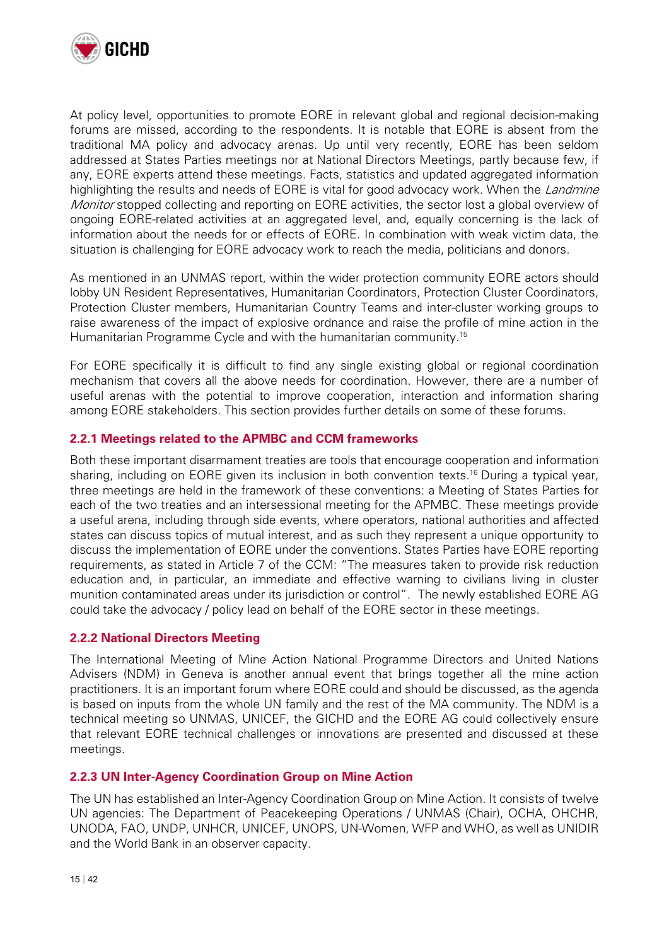

At policy level, opportunities to promote EORE in relevant global and regional decision-making forums are missed, according to the respondents. It is notable that EORE is absent from the traditional MA policy and advocacy arenas. Up until very recently, EORE has been seldom addressed at States Parties meetings nor at National Directors Meetings, partly because few, if any, EORE experts attend these meetings. Facts, statistics and updated aggregated information highlighting the results and needs of EORE is vital for good advocacy work. When the Landmine Monitor stopped collecting and reporting on EORE activities, the sector lost a global overview of ongoing EORE-related activities at an aggregated level, and, equally concerning is the lack of information about the needs for or effects of EORE. In combination with weak victim data, the situation is challenging for EORE advocacy work to reach the media, politicians and donors.

As mentioned in an UNMAS report, within the wider protection community EORE actors should lobby UN Resident Representatives, Humanitarian Coordinators, Protection Cluster Coordinators, Protection Cluster members, Humanitarian Country Teams and inter-cluster working groups to raise awareness of the impact of explosive ordnance and raise the profile of mine action in the Humanitarian Programme Cycle and with the humanitarian community.<sup>15</sup>

For EORE specifically it is difficult to find any single existing global or regional coordination mechanism that covers all the above needs for coordination. However, there are a number of useful arenas with the potential to improve cooperation, interaction and information sharing among EORE stakeholders. This section provides further details on some of these forums.

#### **2.2.1 Meetings related to the APMBC and CCM frameworks**

Both these important disarmament treaties are tools that encourage cooperation and information sharing, including on EORE given its inclusion in both convention texts.<sup>16</sup> During a typical year, three meetings are held in the framework of these conventions: a Meeting of States Parties for each of the two treaties and an intersessional meeting for the APMBC. These meetings provide a useful arena, including through side events, where operators, national authorities and affected states can discuss topics of mutual interest, and as such they represent a unique opportunity to discuss the implementation of EORE under the conventions. States Parties have EORE reporting requirements, as stated in Article 7 of the CCM: "The measures taken to provide risk reduction education and, in particular, an immediate and effective warning to civilians living in cluster munition contaminated areas under its jurisdiction or control". The newly established EORE AG could take the advocacy / policy lead on behalf of the EORE sector in these meetings.

#### **2.2.2 National Directors Meeting**

The International Meeting of Mine Action National Programme Directors and United Nations Advisers (NDM) in Geneva is another annual event that brings together all the mine action practitioners. It is an important forum where EORE could and should be discussed, as the agenda is based on inputs from the whole UN family and the rest of the MA community. The NDM is a technical meeting so UNMAS, UNICEF, the GICHD and the EORE AG could collectively ensure that relevant EORE technical challenges or innovations are presented and discussed at these meetings.

#### **2.2.3 UN Inter-Agency Coordination Group on Mine Action**

The UN has established an Inter-Agency Coordination Group on Mine Action. It consists of twelve UN agencies: The Department of Peacekeeping Operations / UNMAS (Chair), OCHA, OHCHR, UNODA, FAO, UNDP, UNHCR, UNICEF, UNOPS, UN-Women, WFP and WHO, as well as UNIDIR and the World Bank in an observer capacity.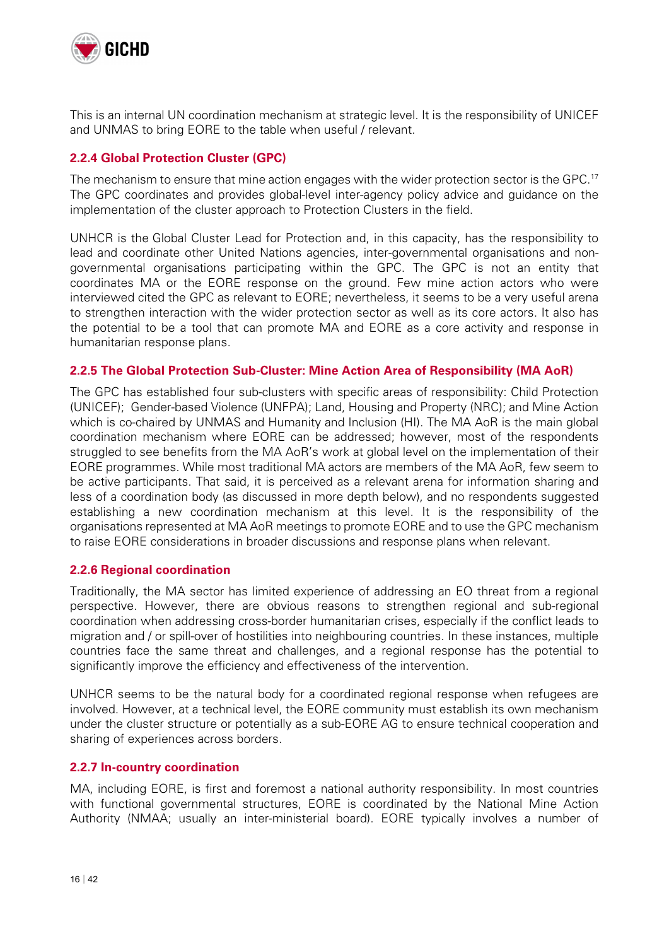

This is an internal UN coordination mechanism at strategic level. It is the responsibility of UNICEF and UNMAS to bring EORE to the table when useful / relevant.

#### **2.2.4 Global Protection Cluster (GPC)**

The mechanism to ensure that mine action engages with the wider protection sector is the GPC.<sup>17</sup> The GPC coordinates and provides global-level inter-agency policy advice and guidance on the implementation of the cluster approach to Protection Clusters in the field.

UNHCR is the Global Cluster Lead for Protection and, in this capacity, has the responsibility to lead and coordinate other United Nations agencies, inter-governmental organisations and nongovernmental organisations participating within the GPC. The GPC is not an entity that coordinates MA or the EORE response on the ground. Few mine action actors who were interviewed cited the GPC as relevant to EORE; nevertheless, it seems to be a very useful arena to strengthen interaction with the wider protection sector as well as its core actors. It also has the potential to be a tool that can promote MA and EORE as a core activity and response in humanitarian response plans.

#### **2.2.5 The Global Protection Sub-Cluster: Mine Action Area of Responsibility (MA AoR)**

The GPC has established four sub-clusters with specific areas of responsibility: Child Protection (UNICEF); Gender-based Violence (UNFPA); Land, Housing and Property (NRC); and Mine Action which is co-chaired by UNMAS and Humanity and Inclusion (HI). The MA AoR is the main global coordination mechanism where EORE can be addressed; however, most of the respondents struggled to see benefits from the MA AoR's work at global level on the implementation of their EORE programmes. While most traditional MA actors are members of the MA AoR, few seem to be active participants. That said, it is perceived as a relevant arena for information sharing and less of a coordination body (as discussed in more depth below), and no respondents suggested establishing a new coordination mechanism at this level. It is the responsibility of the organisations represented at MA AoR meetings to promote EORE and to use the GPC mechanism to raise EORE considerations in broader discussions and response plans when relevant.

#### **2.2.6 Regional coordination**

Traditionally, the MA sector has limited experience of addressing an EO threat from a regional perspective. However, there are obvious reasons to strengthen regional and sub-regional coordination when addressing cross-border humanitarian crises, especially if the conflict leads to migration and / or spill-over of hostilities into neighbouring countries. In these instances, multiple countries face the same threat and challenges, and a regional response has the potential to significantly improve the efficiency and effectiveness of the intervention.

UNHCR seems to be the natural body for a coordinated regional response when refugees are involved. However, at a technical level, the EORE community must establish its own mechanism under the cluster structure or potentially as a sub-EORE AG to ensure technical cooperation and sharing of experiences across borders.

#### **2.2.7 In-country coordination**

MA, including EORE, is first and foremost a national authority responsibility. In most countries with functional governmental structures, EORE is coordinated by the National Mine Action Authority (NMAA; usually an inter-ministerial board). EORE typically involves a number of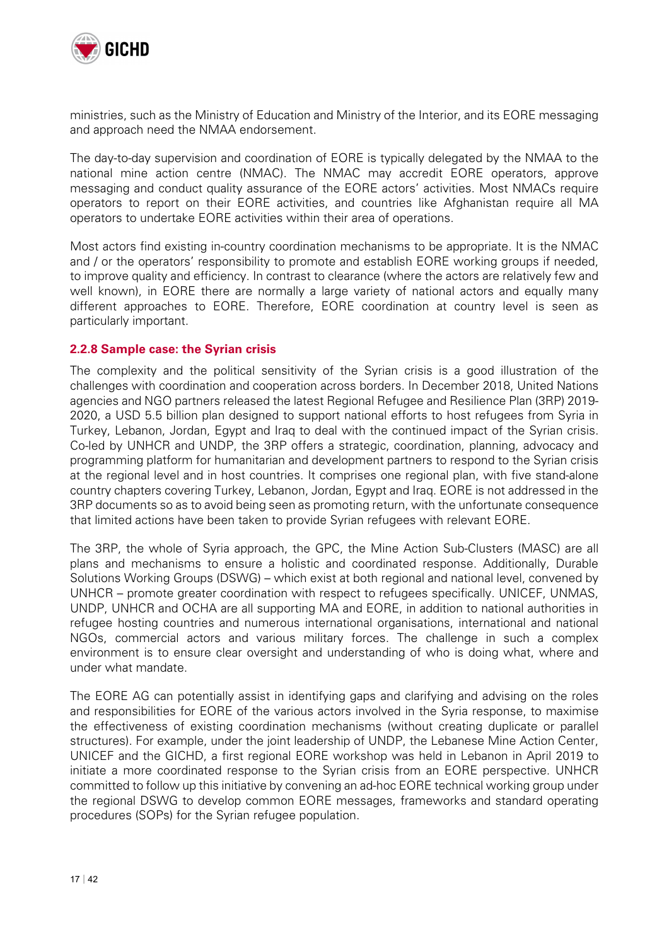

ministries, such as the Ministry of Education and Ministry of the Interior, and its EORE messaging and approach need the NMAA endorsement.

The day-to-day supervision and coordination of EORE is typically delegated by the NMAA to the national mine action centre (NMAC). The NMAC may accredit EORE operators, approve messaging and conduct quality assurance of the EORE actors' activities. Most NMACs require operators to report on their EORE activities, and countries like Afghanistan require all MA operators to undertake EORE activities within their area of operations.

Most actors find existing in-country coordination mechanisms to be appropriate. It is the NMAC and / or the operators' responsibility to promote and establish EORE working groups if needed, to improve quality and efficiency. In contrast to clearance (where the actors are relatively few and well known), in EORE there are normally a large variety of national actors and equally many different approaches to EORE. Therefore, EORE coordination at country level is seen as particularly important.

#### **2.2.8 Sample case: the Syrian crisis**

The complexity and the political sensitivity of the Syrian crisis is a good illustration of the challenges with coordination and cooperation across borders. In December 2018, United Nations agencies and NGO partners released the latest Regional Refugee and Resilience Plan (3RP) 2019- 2020, a USD 5.5 billion plan designed to support national efforts to host refugees from Syria in Turkey, Lebanon, Jordan, Egypt and Iraq to deal with the continued impact of the Syrian crisis. Co-led by UNHCR and UNDP, the 3RP offers a strategic, coordination, planning, advocacy and programming platform for humanitarian and development partners to respond to the Syrian crisis at the regional level and in host countries. It comprises one regional plan, with five stand-alone country chapters covering Turkey, Lebanon, Jordan, Egypt and Iraq. EORE is not addressed in the 3RP documents so as to avoid being seen as promoting return, with the unfortunate consequence that limited actions have been taken to provide Syrian refugees with relevant EORE.

The 3RP, the whole of Syria approach, the GPC, the Mine Action Sub-Clusters (MASC) are all plans and mechanisms to ensure a holistic and coordinated response. Additionally, Durable Solutions Working Groups (DSWG) – which exist at both regional and national level, convened by UNHCR – promote greater coordination with respect to refugees specifically. UNICEF, UNMAS, UNDP, UNHCR and OCHA are all supporting MA and EORE, in addition to national authorities in refugee hosting countries and numerous international organisations, international and national NGOs, commercial actors and various military forces. The challenge in such a complex environment is to ensure clear oversight and understanding of who is doing what, where and under what mandate.

The EORE AG can potentially assist in identifying gaps and clarifying and advising on the roles and responsibilities for EORE of the various actors involved in the Syria response, to maximise the effectiveness of existing coordination mechanisms (without creating duplicate or parallel structures). For example, under the joint leadership of UNDP, the Lebanese Mine Action Center, UNICEF and the GICHD, a first regional EORE workshop was held in Lebanon in April 2019 to initiate a more coordinated response to the Syrian crisis from an EORE perspective. UNHCR committed to follow up this initiative by convening an ad-hoc EORE technical working group under the regional DSWG to develop common EORE messages, frameworks and standard operating procedures (SOPs) for the Syrian refugee population.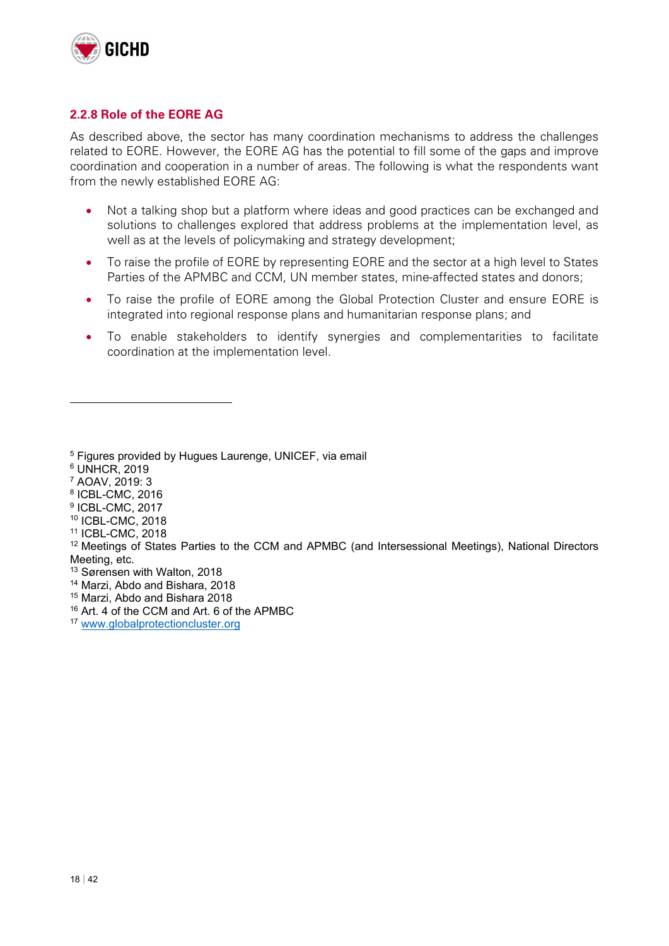

#### **2.2.8 Role of the EORE AG**

As described above, the sector has many coordination mechanisms to address the challenges related to EORE. However, the EORE AG has the potential to fill some of the gaps and improve coordination and cooperation in a number of areas. The following is what the respondents want from the newly established EORE AG:

- Not a talking shop but a platform where ideas and good practices can be exchanged and solutions to challenges explored that address problems at the implementation level, as well as at the levels of policymaking and strategy development;
- To raise the profile of EORE by representing EORE and the sector at a high level to States Parties of the APMBC and CCM, UN member states, mine-affected states and donors;
- To raise the profile of EORE among the Global Protection Cluster and ensure EORE is integrated into regional response plans and humanitarian response plans; and
- To enable stakeholders to identify synergies and complementarities to facilitate coordination at the implementation level.

6 UNHCR, 2019

- 7 AOAV, 2019: 3
- 8 ICBL-CMC, 2016
- 9 ICBL-CMC, 2017
- 10 ICBL-CMC, 2018
- 11 ICBL-CMC, 2018
- <sup>12</sup> Meetings of States Parties to the CCM and APMBC (and Intersessional Meetings), National Directors Meeting, etc.
- <sup>13</sup> Sørensen with Walton, 2018
- 14 Marzi, Abdo and Bishara, 2018
- 15 Marzi, Abdo and Bishara 2018
- 16 Art. 4 of the CCM and Art. 6 of the APMBC
- <sup>17</sup> www.globalprotectioncluster.org

<sup>5</sup> Figures provided by Hugues Laurenge, UNICEF, via email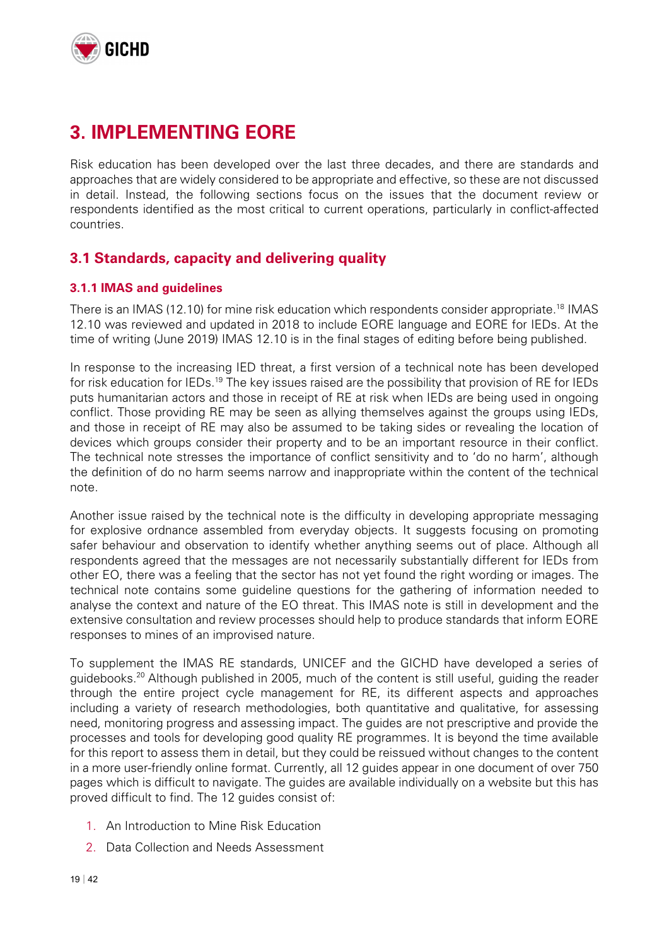

# **3. IMPLEMENTING EORE**

Risk education has been developed over the last three decades, and there are standards and approaches that are widely considered to be appropriate and effective, so these are not discussed in detail. Instead, the following sections focus on the issues that the document review or respondents identified as the most critical to current operations, particularly in conflict-affected countries.

### **3.1 Standards, capacity and delivering quality**

#### **3.1.1 IMAS and guidelines**

There is an IMAS (12.10) for mine risk education which respondents consider appropriate.<sup>18</sup> IMAS 12.10 was reviewed and updated in 2018 to include EORE language and EORE for IEDs. At the time of writing (June 2019) IMAS 12.10 is in the final stages of editing before being published.

In response to the increasing IED threat, a first version of a technical note has been developed for risk education for IEDs.<sup>19</sup> The key issues raised are the possibility that provision of RE for IEDs puts humanitarian actors and those in receipt of RE at risk when IEDs are being used in ongoing conflict. Those providing RE may be seen as allying themselves against the groups using IEDs, and those in receipt of RE may also be assumed to be taking sides or revealing the location of devices which groups consider their property and to be an important resource in their conflict. The technical note stresses the importance of conflict sensitivity and to 'do no harm', although the definition of do no harm seems narrow and inappropriate within the content of the technical note.

Another issue raised by the technical note is the difficulty in developing appropriate messaging for explosive ordnance assembled from everyday objects. It suggests focusing on promoting safer behaviour and observation to identify whether anything seems out of place. Although all respondents agreed that the messages are not necessarily substantially different for IEDs from other EO, there was a feeling that the sector has not yet found the right wording or images. The technical note contains some guideline questions for the gathering of information needed to analyse the context and nature of the EO threat. This IMAS note is still in development and the extensive consultation and review processes should help to produce standards that inform EORE responses to mines of an improvised nature.

To supplement the IMAS RE standards, UNICEF and the GICHD have developed a series of guidebooks.20 Although published in 2005, much of the content is still useful, guiding the reader through the entire project cycle management for RE, its different aspects and approaches including a variety of research methodologies, both quantitative and qualitative, for assessing need, monitoring progress and assessing impact. The guides are not prescriptive and provide the processes and tools for developing good quality RE programmes. It is beyond the time available for this report to assess them in detail, but they could be reissued without changes to the content in a more user-friendly online format. Currently, all 12 guides appear in one document of over 750 pages which is difficult to navigate. The guides are available individually on a website but this has proved difficult to find. The 12 guides consist of:

- 1. An Introduction to Mine Risk Education
- 2. Data Collection and Needs Assessment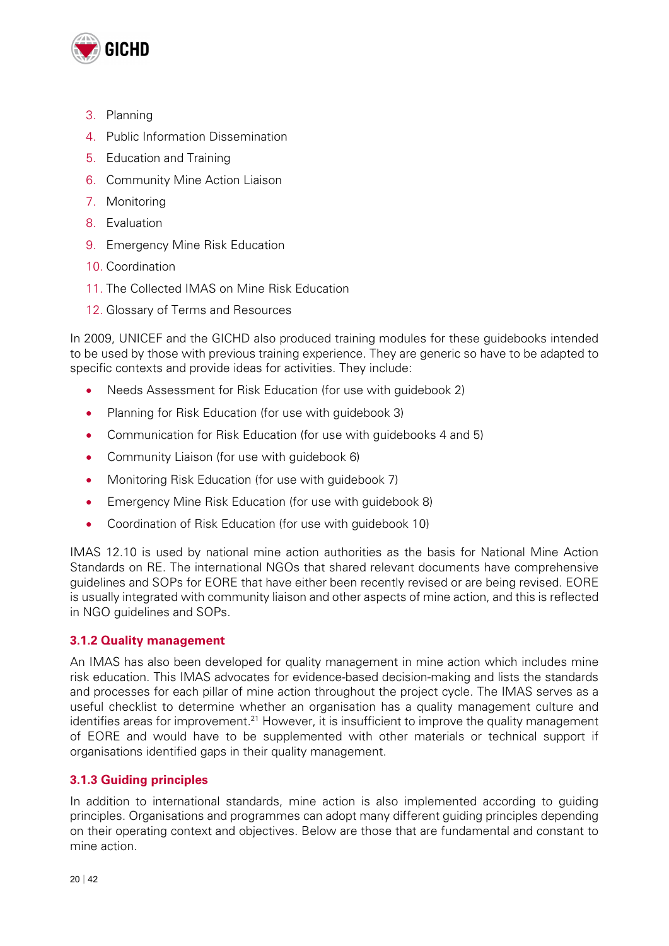

- 3. Planning
- 4. Public Information Dissemination
- 5. Education and Training
- 6. Community Mine Action Liaison
- 7. Monitoring
- 8. Evaluation
- 9. Emergency Mine Risk Education
- 10. Coordination
- 11. The Collected IMAS on Mine Risk Education
- 12. Glossary of Terms and Resources

In 2009, UNICEF and the GICHD also produced training modules for these guidebooks intended to be used by those with previous training experience. They are generic so have to be adapted to specific contexts and provide ideas for activities. They include:

- Needs Assessment for Risk Education (for use with guidebook 2)
- Planning for Risk Education (for use with quidebook 3)
- Communication for Risk Education (for use with guidebooks 4 and 5)
- Community Liaison (for use with guidebook 6)
- Monitoring Risk Education (for use with guidebook 7)
- Emergency Mine Risk Education (for use with guidebook 8)
- Coordination of Risk Education (for use with guidebook 10)

IMAS 12.10 is used by national mine action authorities as the basis for National Mine Action Standards on RE. The international NGOs that shared relevant documents have comprehensive guidelines and SOPs for EORE that have either been recently revised or are being revised. EORE is usually integrated with community liaison and other aspects of mine action, and this is reflected in NGO guidelines and SOPs.

#### **3.1.2 Quality management**

An IMAS has also been developed for quality management in mine action which includes mine risk education. This IMAS advocates for evidence-based decision-making and lists the standards and processes for each pillar of mine action throughout the project cycle. The IMAS serves as a useful checklist to determine whether an organisation has a quality management culture and identifies areas for improvement.<sup>21</sup> However, it is insufficient to improve the quality management of EORE and would have to be supplemented with other materials or technical support if organisations identified gaps in their quality management.

#### **3.1.3 Guiding principles**

In addition to international standards, mine action is also implemented according to guiding principles. Organisations and programmes can adopt many different guiding principles depending on their operating context and objectives. Below are those that are fundamental and constant to mine action.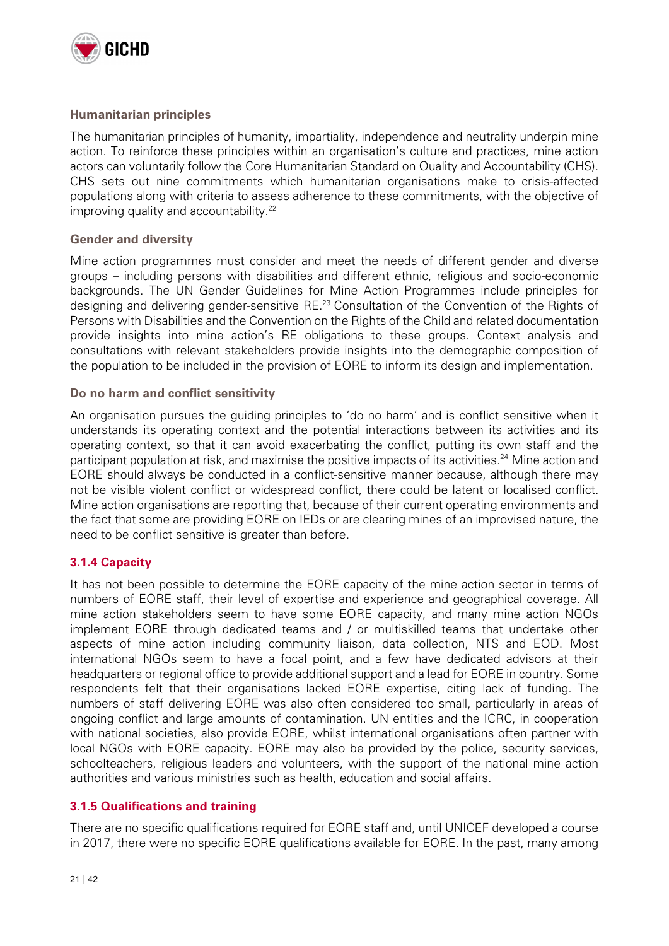

#### **Humanitarian principles**

The humanitarian principles of humanity, impartiality, independence and neutrality underpin mine action. To reinforce these principles within an organisation's culture and practices, mine action actors can voluntarily follow the Core Humanitarian Standard on Quality and Accountability (CHS). CHS sets out nine commitments which humanitarian organisations make to crisis-affected populations along with criteria to assess adherence to these commitments, with the objective of improving quality and accountability.<sup>22</sup>

#### **Gender and diversity**

Mine action programmes must consider and meet the needs of different gender and diverse groups – including persons with disabilities and different ethnic, religious and socio-economic backgrounds. The UN Gender Guidelines for Mine Action Programmes include principles for designing and delivering gender-sensitive RE.<sup>23</sup> Consultation of the Convention of the Rights of Persons with Disabilities and the Convention on the Rights of the Child and related documentation provide insights into mine action's RE obligations to these groups. Context analysis and consultations with relevant stakeholders provide insights into the demographic composition of the population to be included in the provision of EORE to inform its design and implementation.

#### **Do no harm and conflict sensitivity**

An organisation pursues the guiding principles to 'do no harm' and is conflict sensitive when it understands its operating context and the potential interactions between its activities and its operating context, so that it can avoid exacerbating the conflict, putting its own staff and the participant population at risk, and maximise the positive impacts of its activities.<sup>24</sup> Mine action and EORE should always be conducted in a conflict-sensitive manner because, although there may not be visible violent conflict or widespread conflict, there could be latent or localised conflict. Mine action organisations are reporting that, because of their current operating environments and the fact that some are providing EORE on IEDs or are clearing mines of an improvised nature, the need to be conflict sensitive is greater than before.

#### **3.1.4 Capacity**

It has not been possible to determine the EORE capacity of the mine action sector in terms of numbers of EORE staff, their level of expertise and experience and geographical coverage. All mine action stakeholders seem to have some EORE capacity, and many mine action NGOs implement EORE through dedicated teams and / or multiskilled teams that undertake other aspects of mine action including community liaison, data collection, NTS and EOD. Most international NGOs seem to have a focal point, and a few have dedicated advisors at their headquarters or regional office to provide additional support and a lead for EORE in country. Some respondents felt that their organisations lacked EORE expertise, citing lack of funding. The numbers of staff delivering EORE was also often considered too small, particularly in areas of ongoing conflict and large amounts of contamination. UN entities and the ICRC, in cooperation with national societies, also provide EORE, whilst international organisations often partner with local NGOs with EORE capacity. EORE may also be provided by the police, security services, schoolteachers, religious leaders and volunteers, with the support of the national mine action authorities and various ministries such as health, education and social affairs.

#### **3.1.5 Qualifications and training**

There are no specific qualifications required for EORE staff and, until UNICEF developed a course in 2017, there were no specific EORE qualifications available for EORE. In the past, many among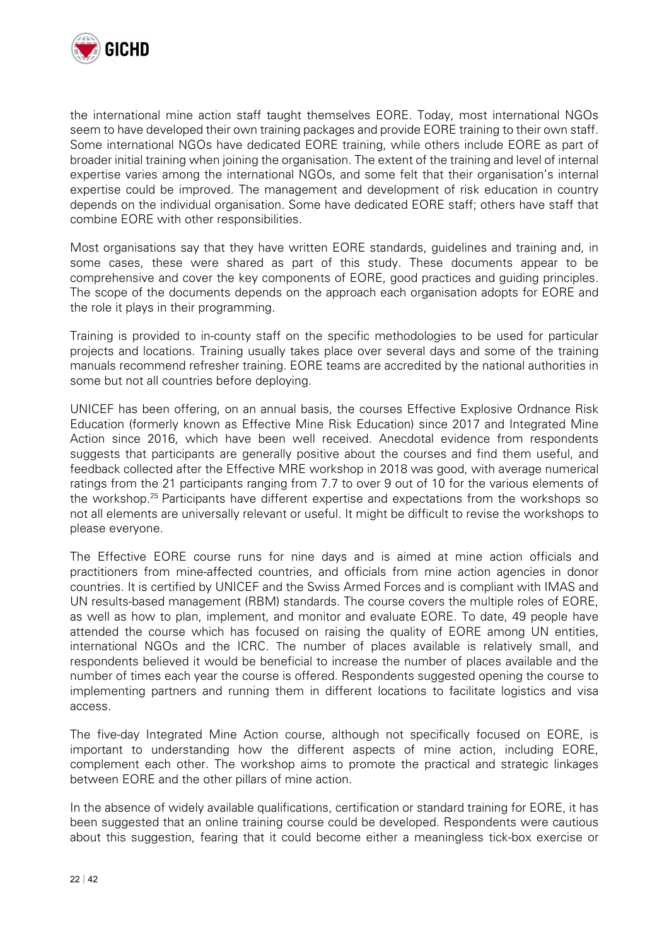

the international mine action staff taught themselves EORE. Today, most international NGOs seem to have developed their own training packages and provide EORE training to their own staff. Some international NGOs have dedicated EORE training, while others include EORE as part of broader initial training when joining the organisation. The extent of the training and level of internal expertise varies among the international NGOs, and some felt that their organisation's internal expertise could be improved. The management and development of risk education in country depends on the individual organisation. Some have dedicated EORE staff; others have staff that combine EORE with other responsibilities.

Most organisations say that they have written EORE standards, guidelines and training and, in some cases, these were shared as part of this study. These documents appear to be comprehensive and cover the key components of EORE, good practices and guiding principles. The scope of the documents depends on the approach each organisation adopts for EORE and the role it plays in their programming.

Training is provided to in-county staff on the specific methodologies to be used for particular projects and locations. Training usually takes place over several days and some of the training manuals recommend refresher training. EORE teams are accredited by the national authorities in some but not all countries before deploying.

UNICEF has been offering, on an annual basis, the courses Effective Explosive Ordnance Risk Education (formerly known as Effective Mine Risk Education) since 2017 and Integrated Mine Action since 2016, which have been well received. Anecdotal evidence from respondents suggests that participants are generally positive about the courses and find them useful, and feedback collected after the Effective MRE workshop in 2018 was good, with average numerical ratings from the 21 participants ranging from 7.7 to over 9 out of 10 for the various elements of the workshop.<sup>25</sup> Participants have different expertise and expectations from the workshops so not all elements are universally relevant or useful. It might be difficult to revise the workshops to please everyone.

The Effective EORE course runs for nine days and is aimed at mine action officials and practitioners from mine-affected countries, and officials from mine action agencies in donor countries. It is certified by UNICEF and the Swiss Armed Forces and is compliant with IMAS and UN results-based management (RBM) standards. The course covers the multiple roles of EORE, as well as how to plan, implement, and monitor and evaluate EORE. To date, 49 people have attended the course which has focused on raising the quality of EORE among UN entities, international NGOs and the ICRC. The number of places available is relatively small, and respondents believed it would be beneficial to increase the number of places available and the number of times each year the course is offered. Respondents suggested opening the course to implementing partners and running them in different locations to facilitate logistics and visa access.

The five-day Integrated Mine Action course, although not specifically focused on EORE, is important to understanding how the different aspects of mine action, including EORE, complement each other. The workshop aims to promote the practical and strategic linkages between EORE and the other pillars of mine action.

In the absence of widely available qualifications, certification or standard training for EORE, it has been suggested that an online training course could be developed. Respondents were cautious about this suggestion, fearing that it could become either a meaningless tick-box exercise or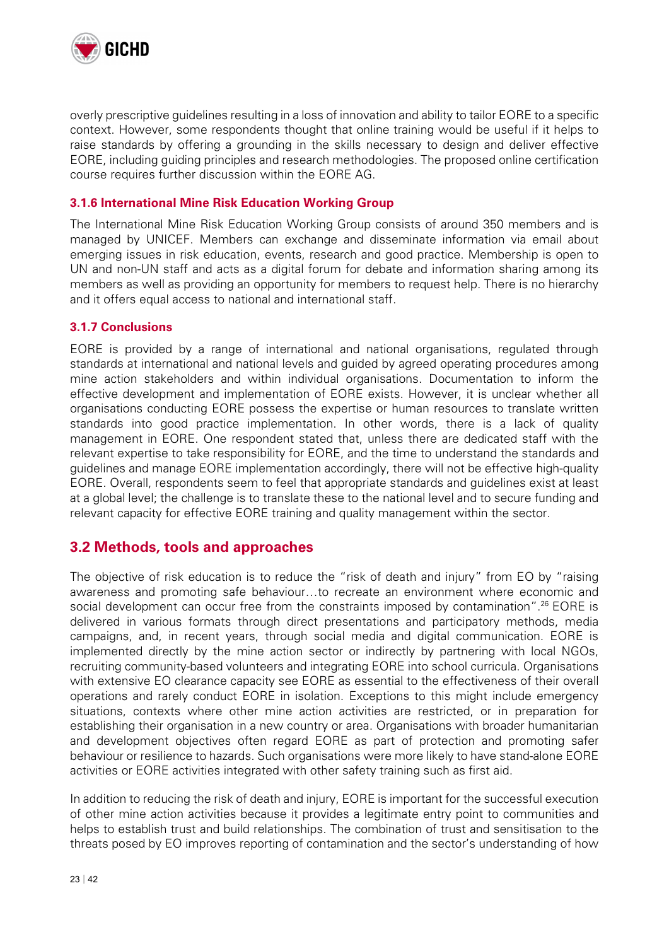

overly prescriptive guidelines resulting in a loss of innovation and ability to tailor EORE to a specific context. However, some respondents thought that online training would be useful if it helps to raise standards by offering a grounding in the skills necessary to design and deliver effective EORE, including guiding principles and research methodologies. The proposed online certification course requires further discussion within the EORE AG.

#### **3.1.6 International Mine Risk Education Working Group**

The International Mine Risk Education Working Group consists of around 350 members and is managed by UNICEF. Members can exchange and disseminate information via email about emerging issues in risk education, events, research and good practice. Membership is open to UN and non-UN staff and acts as a digital forum for debate and information sharing among its members as well as providing an opportunity for members to request help. There is no hierarchy and it offers equal access to national and international staff.

#### **3.1.7 Conclusions**

EORE is provided by a range of international and national organisations, regulated through standards at international and national levels and guided by agreed operating procedures among mine action stakeholders and within individual organisations. Documentation to inform the effective development and implementation of EORE exists. However, it is unclear whether all organisations conducting EORE possess the expertise or human resources to translate written standards into good practice implementation. In other words, there is a lack of quality management in EORE. One respondent stated that, unless there are dedicated staff with the relevant expertise to take responsibility for EORE, and the time to understand the standards and guidelines and manage EORE implementation accordingly, there will not be effective high-quality EORE. Overall, respondents seem to feel that appropriate standards and guidelines exist at least at a global level; the challenge is to translate these to the national level and to secure funding and relevant capacity for effective EORE training and quality management within the sector.

### **3.2 Methods, tools and approaches**

The objective of risk education is to reduce the "risk of death and injury" from EO by "raising awareness and promoting safe behaviour…to recreate an environment where economic and social development can occur free from the constraints imposed by contamination".26 EORE is delivered in various formats through direct presentations and participatory methods, media campaigns, and, in recent years, through social media and digital communication. EORE is implemented directly by the mine action sector or indirectly by partnering with local NGOs, recruiting community-based volunteers and integrating EORE into school curricula. Organisations with extensive EO clearance capacity see EORE as essential to the effectiveness of their overall operations and rarely conduct EORE in isolation. Exceptions to this might include emergency situations, contexts where other mine action activities are restricted, or in preparation for establishing their organisation in a new country or area. Organisations with broader humanitarian and development objectives often regard EORE as part of protection and promoting safer behaviour or resilience to hazards. Such organisations were more likely to have stand-alone EORE activities or EORE activities integrated with other safety training such as first aid.

In addition to reducing the risk of death and injury, EORE is important for the successful execution of other mine action activities because it provides a legitimate entry point to communities and helps to establish trust and build relationships. The combination of trust and sensitisation to the threats posed by EO improves reporting of contamination and the sector's understanding of how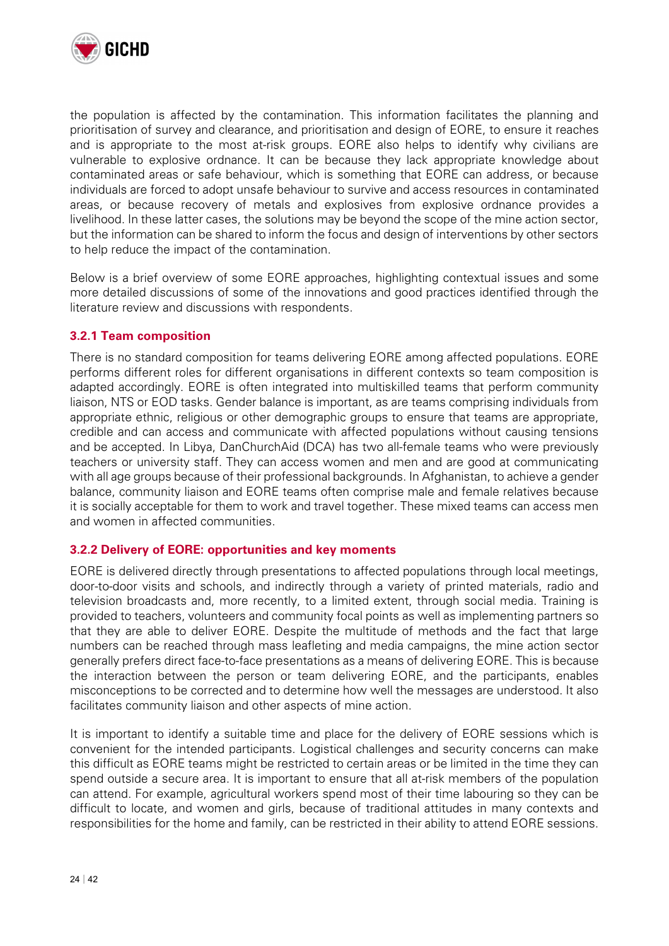

the population is affected by the contamination. This information facilitates the planning and prioritisation of survey and clearance, and prioritisation and design of EORE, to ensure it reaches and is appropriate to the most at-risk groups. EORE also helps to identify why civilians are vulnerable to explosive ordnance. It can be because they lack appropriate knowledge about contaminated areas or safe behaviour, which is something that EORE can address, or because individuals are forced to adopt unsafe behaviour to survive and access resources in contaminated areas, or because recovery of metals and explosives from explosive ordnance provides a livelihood. In these latter cases, the solutions may be beyond the scope of the mine action sector, but the information can be shared to inform the focus and design of interventions by other sectors to help reduce the impact of the contamination.

Below is a brief overview of some EORE approaches, highlighting contextual issues and some more detailed discussions of some of the innovations and good practices identified through the literature review and discussions with respondents.

#### **3.2.1 Team composition**

There is no standard composition for teams delivering EORE among affected populations. EORE performs different roles for different organisations in different contexts so team composition is adapted accordingly. EORE is often integrated into multiskilled teams that perform community liaison, NTS or EOD tasks. Gender balance is important, as are teams comprising individuals from appropriate ethnic, religious or other demographic groups to ensure that teams are appropriate, credible and can access and communicate with affected populations without causing tensions and be accepted. In Libya, DanChurchAid (DCA) has two all-female teams who were previously teachers or university staff. They can access women and men and are good at communicating with all age groups because of their professional backgrounds. In Afghanistan, to achieve a gender balance, community liaison and EORE teams often comprise male and female relatives because it is socially acceptable for them to work and travel together. These mixed teams can access men and women in affected communities.

#### **3.2.2 Delivery of EORE: opportunities and key moments**

EORE is delivered directly through presentations to affected populations through local meetings, door-to-door visits and schools, and indirectly through a variety of printed materials, radio and television broadcasts and, more recently, to a limited extent, through social media. Training is provided to teachers, volunteers and community focal points as well as implementing partners so that they are able to deliver EORE. Despite the multitude of methods and the fact that large numbers can be reached through mass leafleting and media campaigns, the mine action sector generally prefers direct face-to-face presentations as a means of delivering EORE. This is because the interaction between the person or team delivering EORE, and the participants, enables misconceptions to be corrected and to determine how well the messages are understood. It also facilitates community liaison and other aspects of mine action.

It is important to identify a suitable time and place for the delivery of EORE sessions which is convenient for the intended participants. Logistical challenges and security concerns can make this difficult as EORE teams might be restricted to certain areas or be limited in the time they can spend outside a secure area. It is important to ensure that all at-risk members of the population can attend. For example, agricultural workers spend most of their time labouring so they can be difficult to locate, and women and girls, because of traditional attitudes in many contexts and responsibilities for the home and family, can be restricted in their ability to attend EORE sessions.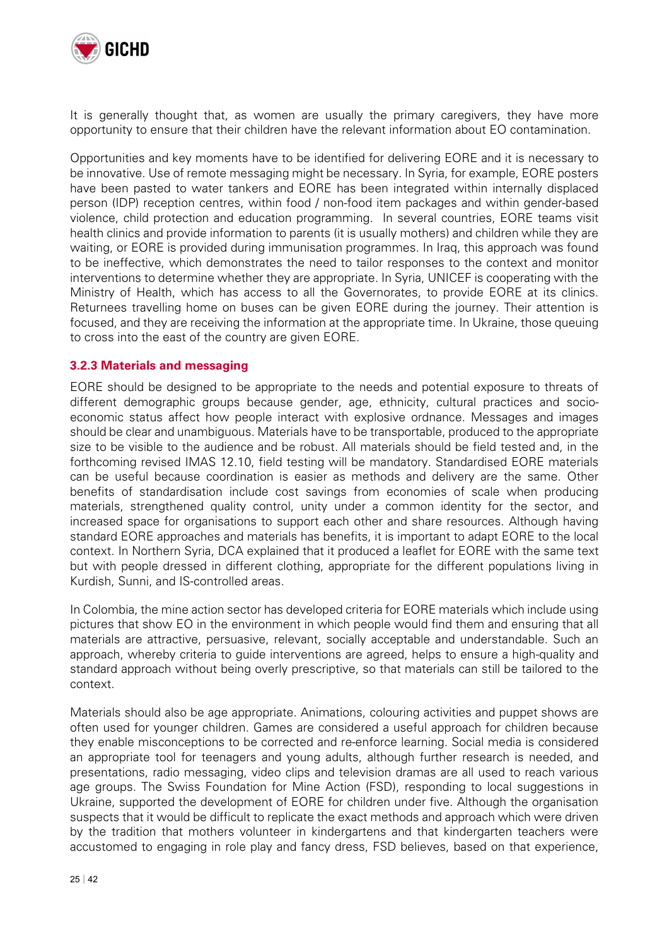

It is generally thought that, as women are usually the primary caregivers, they have more opportunity to ensure that their children have the relevant information about EO contamination.

Opportunities and key moments have to be identified for delivering EORE and it is necessary to be innovative. Use of remote messaging might be necessary. In Syria, for example, EORE posters have been pasted to water tankers and EORE has been integrated within internally displaced person (IDP) reception centres, within food / non-food item packages and within gender-based violence, child protection and education programming. In several countries, EORE teams visit health clinics and provide information to parents (it is usually mothers) and children while they are waiting, or EORE is provided during immunisation programmes. In Iraq, this approach was found to be ineffective, which demonstrates the need to tailor responses to the context and monitor interventions to determine whether they are appropriate. In Syria, UNICEF is cooperating with the Ministry of Health, which has access to all the Governorates, to provide EORE at its clinics. Returnees travelling home on buses can be given EORE during the journey. Their attention is focused, and they are receiving the information at the appropriate time. In Ukraine, those queuing to cross into the east of the country are given EORE.

#### **3.2.3 Materials and messaging**

EORE should be designed to be appropriate to the needs and potential exposure to threats of different demographic groups because gender, age, ethnicity, cultural practices and socioeconomic status affect how people interact with explosive ordnance. Messages and images should be clear and unambiguous. Materials have to be transportable, produced to the appropriate size to be visible to the audience and be robust. All materials should be field tested and, in the forthcoming revised IMAS 12.10, field testing will be mandatory. Standardised EORE materials can be useful because coordination is easier as methods and delivery are the same. Other benefits of standardisation include cost savings from economies of scale when producing materials, strengthened quality control, unity under a common identity for the sector, and increased space for organisations to support each other and share resources. Although having standard EORE approaches and materials has benefits, it is important to adapt EORE to the local context. In Northern Syria, DCA explained that it produced a leaflet for EORE with the same text but with people dressed in different clothing, appropriate for the different populations living in Kurdish, Sunni, and IS-controlled areas.

In Colombia, the mine action sector has developed criteria for EORE materials which include using pictures that show EO in the environment in which people would find them and ensuring that all materials are attractive, persuasive, relevant, socially acceptable and understandable. Such an approach, whereby criteria to guide interventions are agreed, helps to ensure a high-quality and standard approach without being overly prescriptive, so that materials can still be tailored to the context.

Materials should also be age appropriate. Animations, colouring activities and puppet shows are often used for younger children. Games are considered a useful approach for children because they enable misconceptions to be corrected and re-enforce learning. Social media is considered an appropriate tool for teenagers and young adults, although further research is needed, and presentations, radio messaging, video clips and television dramas are all used to reach various age groups. The Swiss Foundation for Mine Action (FSD), responding to local suggestions in Ukraine, supported the development of EORE for children under five. Although the organisation suspects that it would be difficult to replicate the exact methods and approach which were driven by the tradition that mothers volunteer in kindergartens and that kindergarten teachers were accustomed to engaging in role play and fancy dress, FSD believes, based on that experience,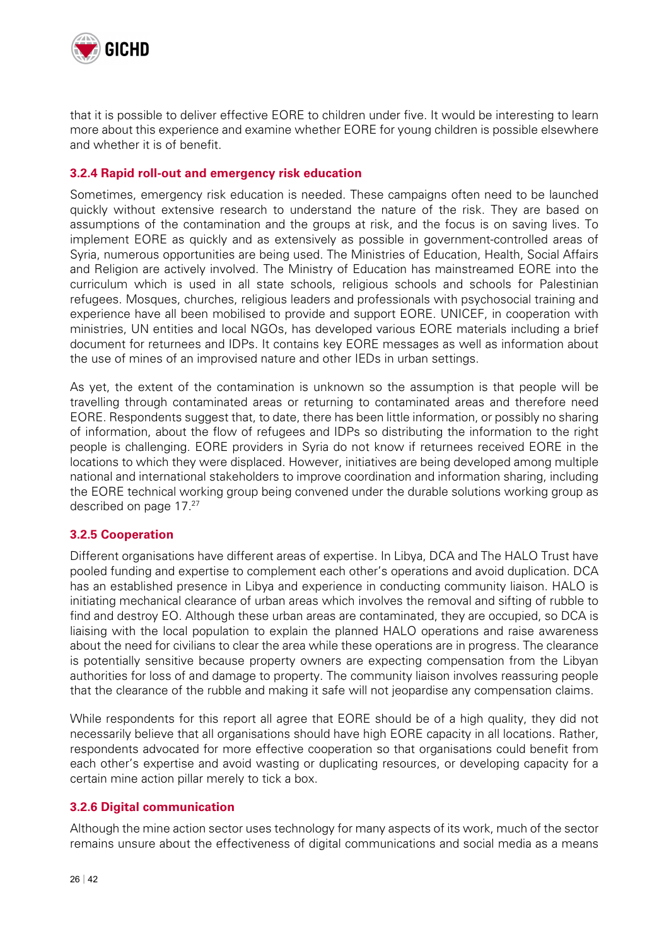

that it is possible to deliver effective EORE to children under five. It would be interesting to learn more about this experience and examine whether EORE for young children is possible elsewhere and whether it is of benefit.

#### **3.2.4 Rapid roll-out and emergency risk education**

Sometimes, emergency risk education is needed. These campaigns often need to be launched quickly without extensive research to understand the nature of the risk. They are based on assumptions of the contamination and the groups at risk, and the focus is on saving lives. To implement EORE as quickly and as extensively as possible in government-controlled areas of Syria, numerous opportunities are being used. The Ministries of Education, Health, Social Affairs and Religion are actively involved. The Ministry of Education has mainstreamed EORE into the curriculum which is used in all state schools, religious schools and schools for Palestinian refugees. Mosques, churches, religious leaders and professionals with psychosocial training and experience have all been mobilised to provide and support EORE. UNICEF, in cooperation with ministries, UN entities and local NGOs, has developed various EORE materials including a brief document for returnees and IDPs. It contains key EORE messages as well as information about the use of mines of an improvised nature and other IEDs in urban settings.

As yet, the extent of the contamination is unknown so the assumption is that people will be travelling through contaminated areas or returning to contaminated areas and therefore need EORE. Respondents suggest that, to date, there has been little information, or possibly no sharing of information, about the flow of refugees and IDPs so distributing the information to the right people is challenging. EORE providers in Syria do not know if returnees received EORE in the locations to which they were displaced. However, initiatives are being developed among multiple national and international stakeholders to improve coordination and information sharing, including the EORE technical working group being convened under the durable solutions working group as described on page 17.27

#### **3.2.5 Cooperation**

Different organisations have different areas of expertise. In Libya, DCA and The HALO Trust have pooled funding and expertise to complement each other's operations and avoid duplication. DCA has an established presence in Libya and experience in conducting community liaison. HALO is initiating mechanical clearance of urban areas which involves the removal and sifting of rubble to find and destroy EO. Although these urban areas are contaminated, they are occupied, so DCA is liaising with the local population to explain the planned HALO operations and raise awareness about the need for civilians to clear the area while these operations are in progress. The clearance is potentially sensitive because property owners are expecting compensation from the Libyan authorities for loss of and damage to property. The community liaison involves reassuring people that the clearance of the rubble and making it safe will not jeopardise any compensation claims.

While respondents for this report all agree that EORE should be of a high quality, they did not necessarily believe that all organisations should have high EORE capacity in all locations. Rather, respondents advocated for more effective cooperation so that organisations could benefit from each other's expertise and avoid wasting or duplicating resources, or developing capacity for a certain mine action pillar merely to tick a box.

#### **3.2.6 Digital communication**

Although the mine action sector uses technology for many aspects of its work, much of the sector remains unsure about the effectiveness of digital communications and social media as a means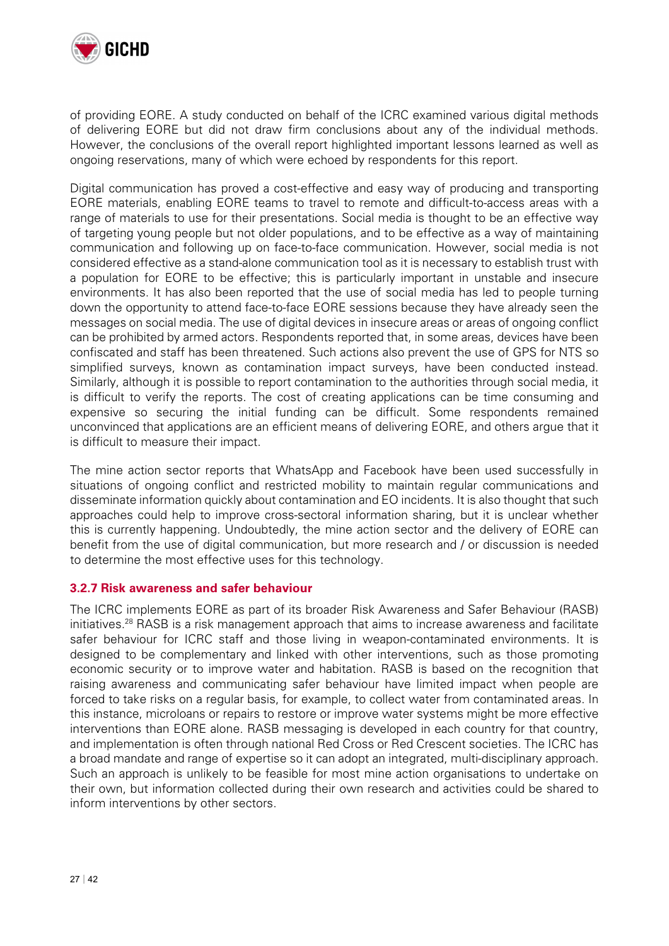

of providing EORE. A study conducted on behalf of the ICRC examined various digital methods of delivering EORE but did not draw firm conclusions about any of the individual methods. However, the conclusions of the overall report highlighted important lessons learned as well as ongoing reservations, many of which were echoed by respondents for this report.

Digital communication has proved a cost-effective and easy way of producing and transporting EORE materials, enabling EORE teams to travel to remote and difficult-to-access areas with a range of materials to use for their presentations. Social media is thought to be an effective way of targeting young people but not older populations, and to be effective as a way of maintaining communication and following up on face-to-face communication. However, social media is not considered effective as a stand-alone communication tool as it is necessary to establish trust with a population for EORE to be effective; this is particularly important in unstable and insecure environments. It has also been reported that the use of social media has led to people turning down the opportunity to attend face-to-face EORE sessions because they have already seen the messages on social media. The use of digital devices in insecure areas or areas of ongoing conflict can be prohibited by armed actors. Respondents reported that, in some areas, devices have been confiscated and staff has been threatened. Such actions also prevent the use of GPS for NTS so simplified surveys, known as contamination impact surveys, have been conducted instead. Similarly, although it is possible to report contamination to the authorities through social media, it is difficult to verify the reports. The cost of creating applications can be time consuming and expensive so securing the initial funding can be difficult. Some respondents remained unconvinced that applications are an efficient means of delivering EORE, and others argue that it is difficult to measure their impact.

The mine action sector reports that WhatsApp and Facebook have been used successfully in situations of ongoing conflict and restricted mobility to maintain regular communications and disseminate information quickly about contamination and EO incidents. It is also thought that such approaches could help to improve cross-sectoral information sharing, but it is unclear whether this is currently happening. Undoubtedly, the mine action sector and the delivery of EORE can benefit from the use of digital communication, but more research and / or discussion is needed to determine the most effective uses for this technology.

#### **3.2.7 Risk awareness and safer behaviour**

The ICRC implements EORE as part of its broader Risk Awareness and Safer Behaviour (RASB) initiatives.28 RASB is a risk management approach that aims to increase awareness and facilitate safer behaviour for ICRC staff and those living in weapon-contaminated environments. It is designed to be complementary and linked with other interventions, such as those promoting economic security or to improve water and habitation. RASB is based on the recognition that raising awareness and communicating safer behaviour have limited impact when people are forced to take risks on a regular basis, for example, to collect water from contaminated areas. In this instance, microloans or repairs to restore or improve water systems might be more effective interventions than EORE alone. RASB messaging is developed in each country for that country, and implementation is often through national Red Cross or Red Crescent societies. The ICRC has a broad mandate and range of expertise so it can adopt an integrated, multi-disciplinary approach. Such an approach is unlikely to be feasible for most mine action organisations to undertake on their own, but information collected during their own research and activities could be shared to inform interventions by other sectors.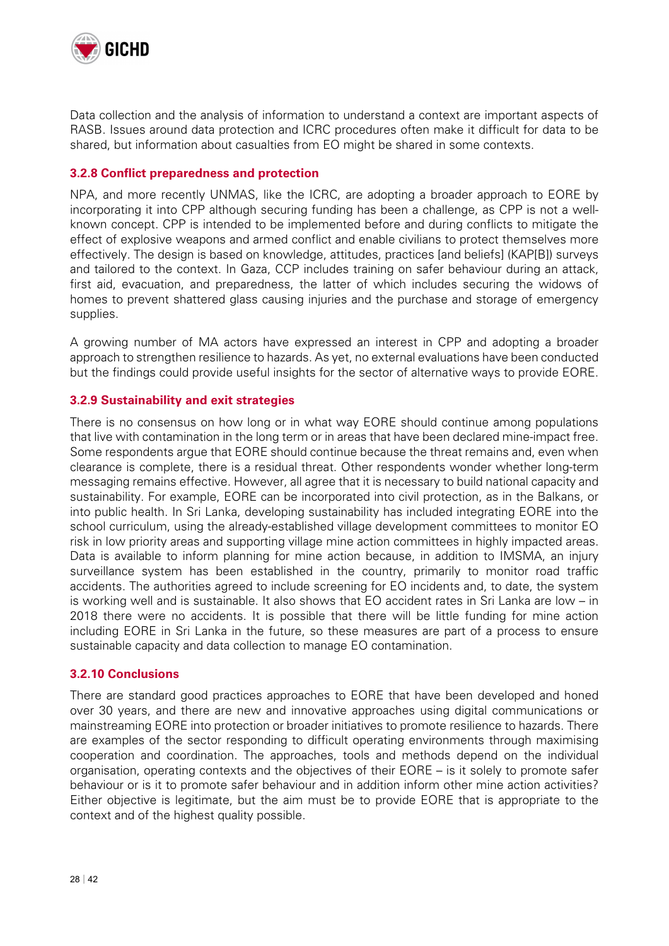

Data collection and the analysis of information to understand a context are important aspects of RASB. Issues around data protection and ICRC procedures often make it difficult for data to be shared, but information about casualties from EO might be shared in some contexts.

#### **3.2.8 Conflict preparedness and protection**

NPA, and more recently UNMAS, like the ICRC, are adopting a broader approach to EORE by incorporating it into CPP although securing funding has been a challenge, as CPP is not a wellknown concept. CPP is intended to be implemented before and during conflicts to mitigate the effect of explosive weapons and armed conflict and enable civilians to protect themselves more effectively. The design is based on knowledge, attitudes, practices [and beliefs] (KAP[B]) surveys and tailored to the context. In Gaza, CCP includes training on safer behaviour during an attack, first aid, evacuation, and preparedness, the latter of which includes securing the widows of homes to prevent shattered glass causing injuries and the purchase and storage of emergency supplies.

A growing number of MA actors have expressed an interest in CPP and adopting a broader approach to strengthen resilience to hazards. As yet, no external evaluations have been conducted but the findings could provide useful insights for the sector of alternative ways to provide EORE.

#### **3.2.9 Sustainability and exit strategies**

There is no consensus on how long or in what way EORE should continue among populations that live with contamination in the long term or in areas that have been declared mine-impact free. Some respondents argue that EORE should continue because the threat remains and, even when clearance is complete, there is a residual threat. Other respondents wonder whether long-term messaging remains effective. However, all agree that it is necessary to build national capacity and sustainability. For example, EORE can be incorporated into civil protection, as in the Balkans, or into public health. In Sri Lanka, developing sustainability has included integrating EORE into the school curriculum, using the already-established village development committees to monitor EO risk in low priority areas and supporting village mine action committees in highly impacted areas. Data is available to inform planning for mine action because, in addition to IMSMA, an injury surveillance system has been established in the country, primarily to monitor road traffic accidents. The authorities agreed to include screening for EO incidents and, to date, the system is working well and is sustainable. It also shows that EO accident rates in Sri Lanka are low – in 2018 there were no accidents. It is possible that there will be little funding for mine action including EORE in Sri Lanka in the future, so these measures are part of a process to ensure sustainable capacity and data collection to manage EO contamination.

#### **3.2.10 Conclusions**

There are standard good practices approaches to EORE that have been developed and honed over 30 years, and there are new and innovative approaches using digital communications or mainstreaming EORE into protection or broader initiatives to promote resilience to hazards. There are examples of the sector responding to difficult operating environments through maximising cooperation and coordination. The approaches, tools and methods depend on the individual organisation, operating contexts and the objectives of their EORE – is it solely to promote safer behaviour or is it to promote safer behaviour and in addition inform other mine action activities? Either objective is legitimate, but the aim must be to provide EORE that is appropriate to the context and of the highest quality possible.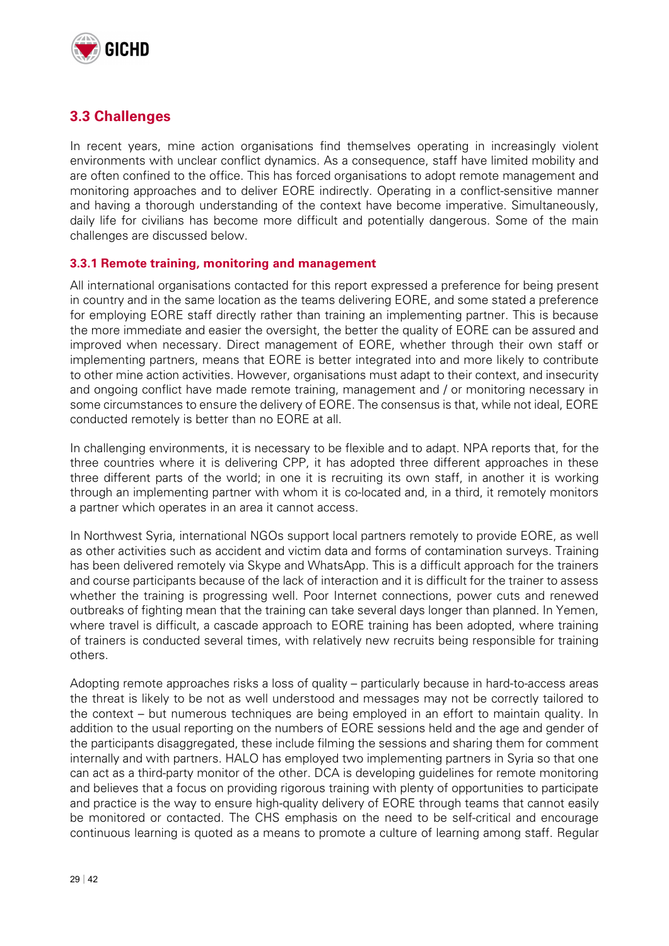

### **3.3 Challenges**

In recent years, mine action organisations find themselves operating in increasingly violent environments with unclear conflict dynamics. As a consequence, staff have limited mobility and are often confined to the office. This has forced organisations to adopt remote management and monitoring approaches and to deliver EORE indirectly. Operating in a conflict-sensitive manner and having a thorough understanding of the context have become imperative. Simultaneously, daily life for civilians has become more difficult and potentially dangerous. Some of the main challenges are discussed below.

#### **3.3.1 Remote training, monitoring and management**

All international organisations contacted for this report expressed a preference for being present in country and in the same location as the teams delivering EORE, and some stated a preference for employing EORE staff directly rather than training an implementing partner. This is because the more immediate and easier the oversight, the better the quality of EORE can be assured and improved when necessary. Direct management of EORE, whether through their own staff or implementing partners, means that EORE is better integrated into and more likely to contribute to other mine action activities. However, organisations must adapt to their context, and insecurity and ongoing conflict have made remote training, management and / or monitoring necessary in some circumstances to ensure the delivery of EORE. The consensus is that, while not ideal, EORE conducted remotely is better than no EORE at all.

In challenging environments, it is necessary to be flexible and to adapt. NPA reports that, for the three countries where it is delivering CPP, it has adopted three different approaches in these three different parts of the world; in one it is recruiting its own staff, in another it is working through an implementing partner with whom it is co-located and, in a third, it remotely monitors a partner which operates in an area it cannot access.

In Northwest Syria, international NGOs support local partners remotely to provide EORE, as well as other activities such as accident and victim data and forms of contamination surveys. Training has been delivered remotely via Skype and WhatsApp. This is a difficult approach for the trainers and course participants because of the lack of interaction and it is difficult for the trainer to assess whether the training is progressing well. Poor Internet connections, power cuts and renewed outbreaks of fighting mean that the training can take several days longer than planned. In Yemen, where travel is difficult, a cascade approach to EORE training has been adopted, where training of trainers is conducted several times, with relatively new recruits being responsible for training others.

Adopting remote approaches risks a loss of quality – particularly because in hard-to-access areas the threat is likely to be not as well understood and messages may not be correctly tailored to the context – but numerous techniques are being employed in an effort to maintain quality. In addition to the usual reporting on the numbers of EORE sessions held and the age and gender of the participants disaggregated, these include filming the sessions and sharing them for comment internally and with partners. HALO has employed two implementing partners in Syria so that one can act as a third-party monitor of the other. DCA is developing guidelines for remote monitoring and believes that a focus on providing rigorous training with plenty of opportunities to participate and practice is the way to ensure high-quality delivery of EORE through teams that cannot easily be monitored or contacted. The CHS emphasis on the need to be self-critical and encourage continuous learning is quoted as a means to promote a culture of learning among staff. Regular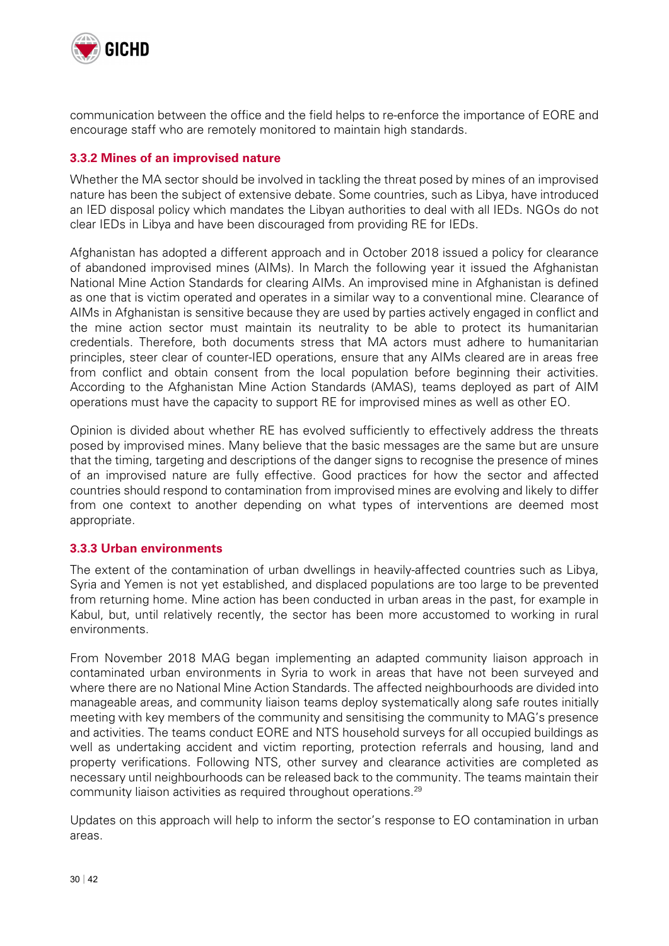

communication between the office and the field helps to re-enforce the importance of EORE and encourage staff who are remotely monitored to maintain high standards.

#### **3.3.2 Mines of an improvised nature**

Whether the MA sector should be involved in tackling the threat posed by mines of an improvised nature has been the subject of extensive debate. Some countries, such as Libya, have introduced an IED disposal policy which mandates the Libyan authorities to deal with all IEDs. NGOs do not clear IEDs in Libya and have been discouraged from providing RE for IEDs.

Afghanistan has adopted a different approach and in October 2018 issued a policy for clearance of abandoned improvised mines (AIMs). In March the following year it issued the Afghanistan National Mine Action Standards for clearing AIMs. An improvised mine in Afghanistan is defined as one that is victim operated and operates in a similar way to a conventional mine. Clearance of AIMs in Afghanistan is sensitive because they are used by parties actively engaged in conflict and the mine action sector must maintain its neutrality to be able to protect its humanitarian credentials. Therefore, both documents stress that MA actors must adhere to humanitarian principles, steer clear of counter-IED operations, ensure that any AIMs cleared are in areas free from conflict and obtain consent from the local population before beginning their activities. According to the Afghanistan Mine Action Standards (AMAS), teams deployed as part of AIM operations must have the capacity to support RE for improvised mines as well as other EO.

Opinion is divided about whether RE has evolved sufficiently to effectively address the threats posed by improvised mines. Many believe that the basic messages are the same but are unsure that the timing, targeting and descriptions of the danger signs to recognise the presence of mines of an improvised nature are fully effective. Good practices for how the sector and affected countries should respond to contamination from improvised mines are evolving and likely to differ from one context to another depending on what types of interventions are deemed most appropriate.

#### **3.3.3 Urban environments**

The extent of the contamination of urban dwellings in heavily-affected countries such as Libya, Syria and Yemen is not yet established, and displaced populations are too large to be prevented from returning home. Mine action has been conducted in urban areas in the past, for example in Kabul, but, until relatively recently, the sector has been more accustomed to working in rural environments.

From November 2018 MAG began implementing an adapted community liaison approach in contaminated urban environments in Syria to work in areas that have not been surveyed and where there are no National Mine Action Standards. The affected neighbourhoods are divided into manageable areas, and community liaison teams deploy systematically along safe routes initially meeting with key members of the community and sensitising the community to MAG's presence and activities. The teams conduct EORE and NTS household surveys for all occupied buildings as well as undertaking accident and victim reporting, protection referrals and housing, land and property verifications. Following NTS, other survey and clearance activities are completed as necessary until neighbourhoods can be released back to the community. The teams maintain their community liaison activities as required throughout operations.<sup>29</sup>

Updates on this approach will help to inform the sector's response to EO contamination in urban areas.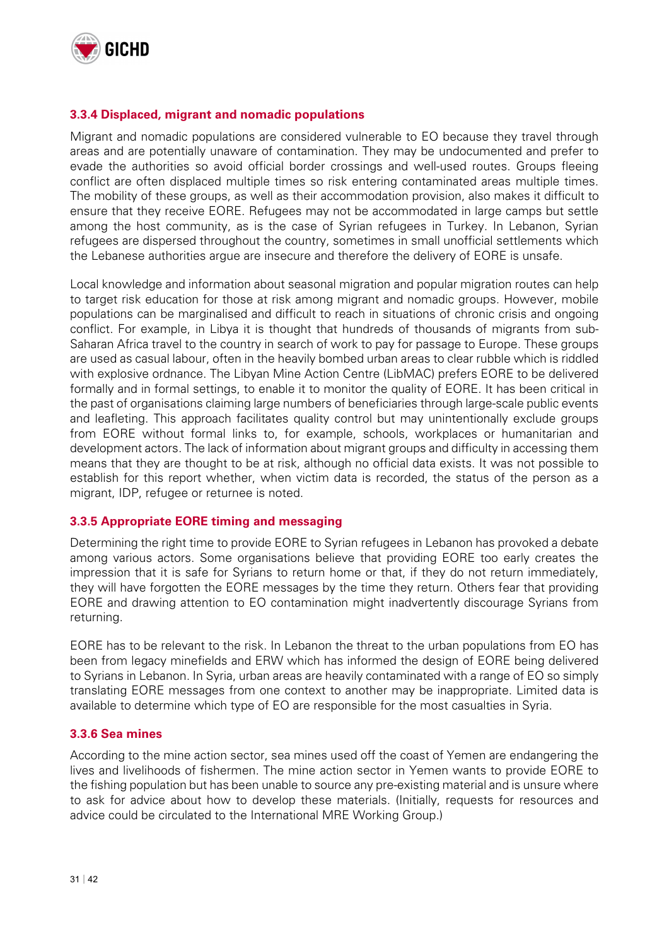

#### **3.3.4 Displaced, migrant and nomadic populations**

Migrant and nomadic populations are considered vulnerable to EO because they travel through areas and are potentially unaware of contamination. They may be undocumented and prefer to evade the authorities so avoid official border crossings and well-used routes. Groups fleeing conflict are often displaced multiple times so risk entering contaminated areas multiple times. The mobility of these groups, as well as their accommodation provision, also makes it difficult to ensure that they receive EORE. Refugees may not be accommodated in large camps but settle among the host community, as is the case of Syrian refugees in Turkey. In Lebanon, Syrian refugees are dispersed throughout the country, sometimes in small unofficial settlements which the Lebanese authorities argue are insecure and therefore the delivery of EORE is unsafe.

Local knowledge and information about seasonal migration and popular migration routes can help to target risk education for those at risk among migrant and nomadic groups. However, mobile populations can be marginalised and difficult to reach in situations of chronic crisis and ongoing conflict. For example, in Libya it is thought that hundreds of thousands of migrants from sub-Saharan Africa travel to the country in search of work to pay for passage to Europe. These groups are used as casual labour, often in the heavily bombed urban areas to clear rubble which is riddled with explosive ordnance. The Libyan Mine Action Centre (LibMAC) prefers EORE to be delivered formally and in formal settings, to enable it to monitor the quality of EORE. It has been critical in the past of organisations claiming large numbers of beneficiaries through large-scale public events and leafleting. This approach facilitates quality control but may unintentionally exclude groups from EORE without formal links to, for example, schools, workplaces or humanitarian and development actors. The lack of information about migrant groups and difficulty in accessing them means that they are thought to be at risk, although no official data exists. It was not possible to establish for this report whether, when victim data is recorded, the status of the person as a migrant, IDP, refugee or returnee is noted.

#### **3.3.5 Appropriate EORE timing and messaging**

Determining the right time to provide EORE to Syrian refugees in Lebanon has provoked a debate among various actors. Some organisations believe that providing EORE too early creates the impression that it is safe for Syrians to return home or that, if they do not return immediately, they will have forgotten the EORE messages by the time they return. Others fear that providing EORE and drawing attention to EO contamination might inadvertently discourage Syrians from returning.

EORE has to be relevant to the risk. In Lebanon the threat to the urban populations from EO has been from legacy minefields and ERW which has informed the design of EORE being delivered to Syrians in Lebanon. In Syria, urban areas are heavily contaminated with a range of EO so simply translating EORE messages from one context to another may be inappropriate. Limited data is available to determine which type of EO are responsible for the most casualties in Syria.

#### **3.3.6 Sea mines**

According to the mine action sector, sea mines used off the coast of Yemen are endangering the lives and livelihoods of fishermen. The mine action sector in Yemen wants to provide EORE to the fishing population but has been unable to source any pre-existing material and is unsure where to ask for advice about how to develop these materials. (Initially, requests for resources and advice could be circulated to the International MRE Working Group.)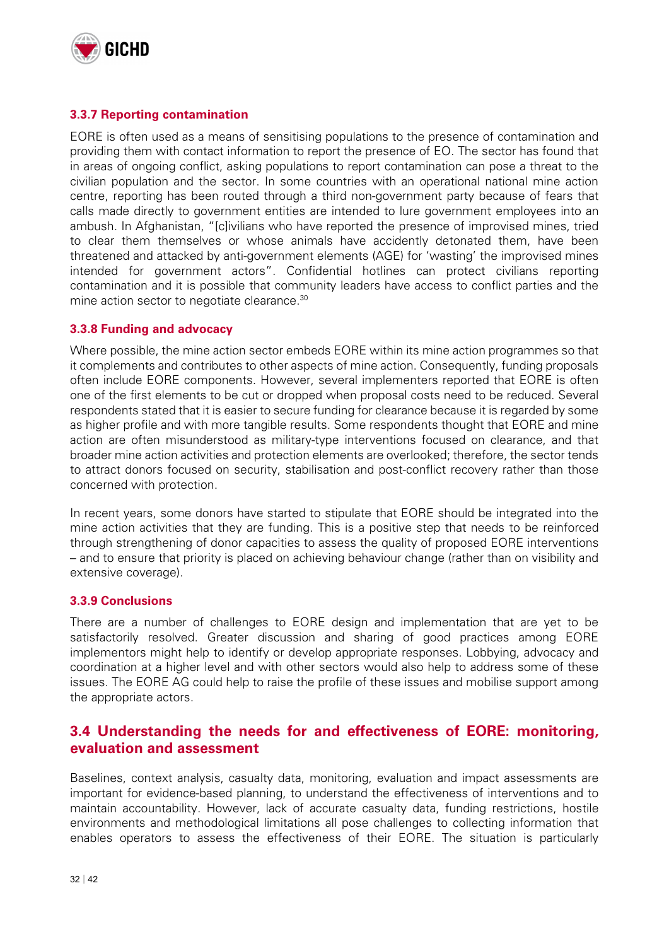

#### **3.3.7 Reporting contamination**

EORE is often used as a means of sensitising populations to the presence of contamination and providing them with contact information to report the presence of EO. The sector has found that in areas of ongoing conflict, asking populations to report contamination can pose a threat to the civilian population and the sector. In some countries with an operational national mine action centre, reporting has been routed through a third non-government party because of fears that calls made directly to government entities are intended to lure government employees into an ambush. In Afghanistan, "[c]ivilians who have reported the presence of improvised mines, tried to clear them themselves or whose animals have accidently detonated them, have been threatened and attacked by anti-government elements (AGE) for 'wasting' the improvised mines intended for government actors". Confidential hotlines can protect civilians reporting contamination and it is possible that community leaders have access to conflict parties and the mine action sector to negotiate clearance.<sup>30</sup>

#### **3.3.8 Funding and advocacy**

Where possible, the mine action sector embeds EORE within its mine action programmes so that it complements and contributes to other aspects of mine action. Consequently, funding proposals often include EORE components. However, several implementers reported that EORE is often one of the first elements to be cut or dropped when proposal costs need to be reduced. Several respondents stated that it is easier to secure funding for clearance because it is regarded by some as higher profile and with more tangible results. Some respondents thought that EORE and mine action are often misunderstood as military-type interventions focused on clearance, and that broader mine action activities and protection elements are overlooked; therefore, the sector tends to attract donors focused on security, stabilisation and post-conflict recovery rather than those concerned with protection.

In recent years, some donors have started to stipulate that EORE should be integrated into the mine action activities that they are funding. This is a positive step that needs to be reinforced through strengthening of donor capacities to assess the quality of proposed EORE interventions – and to ensure that priority is placed on achieving behaviour change (rather than on visibility and extensive coverage).

#### **3.3.9 Conclusions**

There are a number of challenges to EORE design and implementation that are yet to be satisfactorily resolved. Greater discussion and sharing of good practices among EORE implementors might help to identify or develop appropriate responses. Lobbying, advocacy and coordination at a higher level and with other sectors would also help to address some of these issues. The EORE AG could help to raise the profile of these issues and mobilise support among the appropriate actors.

### **3.4 Understanding the needs for and effectiveness of EORE: monitoring, evaluation and assessment**

Baselines, context analysis, casualty data, monitoring, evaluation and impact assessments are important for evidence-based planning, to understand the effectiveness of interventions and to maintain accountability. However, lack of accurate casualty data, funding restrictions, hostile environments and methodological limitations all pose challenges to collecting information that enables operators to assess the effectiveness of their EORE. The situation is particularly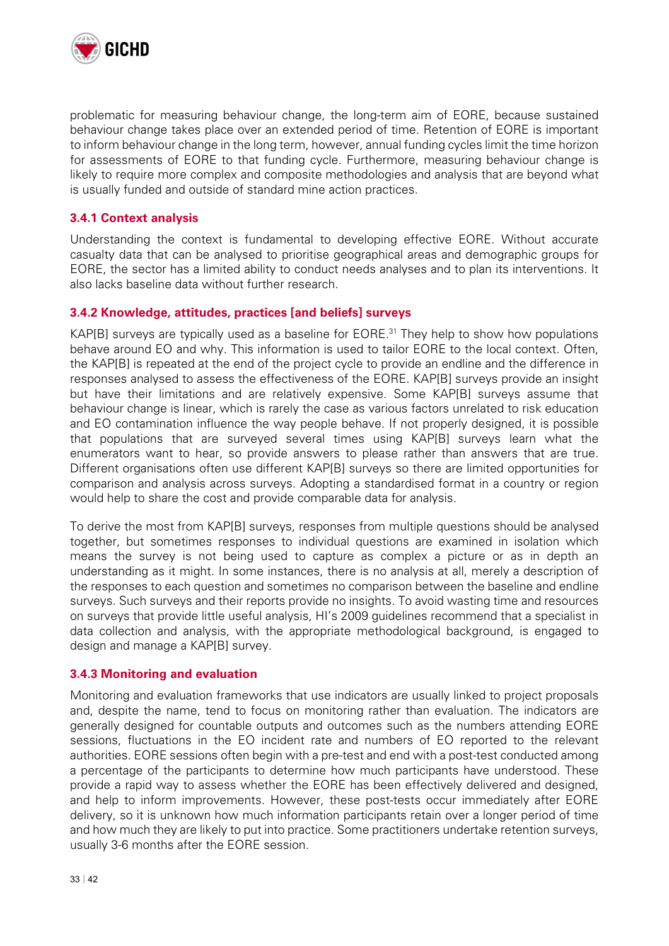

problematic for measuring behaviour change, the long-term aim of EORE, because sustained behaviour change takes place over an extended period of time. Retention of EORE is important to inform behaviour change in the long term, however, annual funding cycles limit the time horizon for assessments of EORE to that funding cycle. Furthermore, measuring behaviour change is likely to require more complex and composite methodologies and analysis that are beyond what is usually funded and outside of standard mine action practices.

#### **3.4.1 Context analysis**

Understanding the context is fundamental to developing effective EORE. Without accurate casualty data that can be analysed to prioritise geographical areas and demographic groups for EORE, the sector has a limited ability to conduct needs analyses and to plan its interventions. It also lacks baseline data without further research.

#### **3.4.2 Knowledge, attitudes, practices [and beliefs] surveys**

KAP[B] surveys are typically used as a baseline for EORE.<sup>31</sup> They help to show how populations behave around EO and why. This information is used to tailor EORE to the local context. Often, the KAP[B] is repeated at the end of the project cycle to provide an endline and the difference in responses analysed to assess the effectiveness of the EORE. KAP[B] surveys provide an insight but have their limitations and are relatively expensive. Some KAP[B] surveys assume that behaviour change is linear, which is rarely the case as various factors unrelated to risk education and EO contamination influence the way people behave. If not properly designed, it is possible that populations that are surveyed several times using KAP[B] surveys learn what the enumerators want to hear, so provide answers to please rather than answers that are true. Different organisations often use different KAP[B] surveys so there are limited opportunities for comparison and analysis across surveys. Adopting a standardised format in a country or region would help to share the cost and provide comparable data for analysis.

To derive the most from KAP[B] surveys, responses from multiple questions should be analysed together, but sometimes responses to individual questions are examined in isolation which means the survey is not being used to capture as complex a picture or as in depth an understanding as it might. In some instances, there is no analysis at all, merely a description of the responses to each question and sometimes no comparison between the baseline and endline surveys. Such surveys and their reports provide no insights. To avoid wasting time and resources on surveys that provide little useful analysis, HI's 2009 guidelines recommend that a specialist in data collection and analysis, with the appropriate methodological background, is engaged to design and manage a KAP[B] survey.

#### **3.4.3 Monitoring and evaluation**

Monitoring and evaluation frameworks that use indicators are usually linked to project proposals and, despite the name, tend to focus on monitoring rather than evaluation. The indicators are generally designed for countable outputs and outcomes such as the numbers attending EORE sessions, fluctuations in the EO incident rate and numbers of EO reported to the relevant authorities. EORE sessions often begin with a pre-test and end with a post-test conducted among a percentage of the participants to determine how much participants have understood. These provide a rapid way to assess whether the EORE has been effectively delivered and designed, and help to inform improvements. However, these post-tests occur immediately after EORE delivery, so it is unknown how much information participants retain over a longer period of time and how much they are likely to put into practice. Some practitioners undertake retention surveys, usually 3-6 months after the EORE session.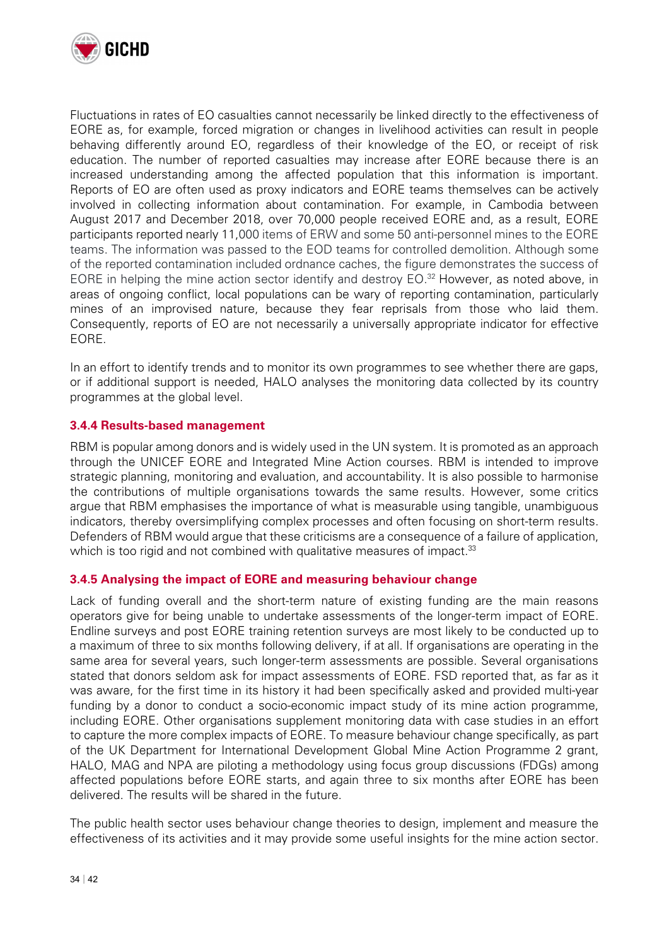

Fluctuations in rates of EO casualties cannot necessarily be linked directly to the effectiveness of EORE as, for example, forced migration or changes in livelihood activities can result in people behaving differently around EO, regardless of their knowledge of the EO, or receipt of risk education. The number of reported casualties may increase after EORE because there is an increased understanding among the affected population that this information is important. Reports of EO are often used as proxy indicators and EORE teams themselves can be actively involved in collecting information about contamination. For example, in Cambodia between August 2017 and December 2018, over 70,000 people received EORE and, as a result, EORE participants reported nearly 11,000 items of ERW and some 50 anti-personnel mines to the EORE teams. The information was passed to the EOD teams for controlled demolition. Although some of the reported contamination included ordnance caches, the figure demonstrates the success of EORE in helping the mine action sector identify and destroy EO.<sup>32</sup> However, as noted above, in areas of ongoing conflict, local populations can be wary of reporting contamination, particularly mines of an improvised nature, because they fear reprisals from those who laid them. Consequently, reports of EO are not necessarily a universally appropriate indicator for effective EORE.

In an effort to identify trends and to monitor its own programmes to see whether there are gaps, or if additional support is needed, HALO analyses the monitoring data collected by its country programmes at the global level.

#### **3.4.4 Results-based management**

RBM is popular among donors and is widely used in the UN system. It is promoted as an approach through the UNICEF EORE and Integrated Mine Action courses. RBM is intended to improve strategic planning, monitoring and evaluation, and accountability. It is also possible to harmonise the contributions of multiple organisations towards the same results. However, some critics argue that RBM emphasises the importance of what is measurable using tangible, unambiguous indicators, thereby oversimplifying complex processes and often focusing on short-term results. Defenders of RBM would argue that these criticisms are a consequence of a failure of application, which is too rigid and not combined with qualitative measures of impact.<sup>33</sup>

#### **3.4.5 Analysing the impact of EORE and measuring behaviour change**

Lack of funding overall and the short-term nature of existing funding are the main reasons operators give for being unable to undertake assessments of the longer-term impact of EORE. Endline surveys and post EORE training retention surveys are most likely to be conducted up to a maximum of three to six months following delivery, if at all. If organisations are operating in the same area for several years, such longer-term assessments are possible. Several organisations stated that donors seldom ask for impact assessments of EORE. FSD reported that, as far as it was aware, for the first time in its history it had been specifically asked and provided multi-year funding by a donor to conduct a socio-economic impact study of its mine action programme, including EORE. Other organisations supplement monitoring data with case studies in an effort to capture the more complex impacts of EORE. To measure behaviour change specifically, as part of the UK Department for International Development Global Mine Action Programme 2 grant, HALO, MAG and NPA are piloting a methodology using focus group discussions (FDGs) among affected populations before EORE starts, and again three to six months after EORE has been delivered. The results will be shared in the future.

The public health sector uses behaviour change theories to design, implement and measure the effectiveness of its activities and it may provide some useful insights for the mine action sector.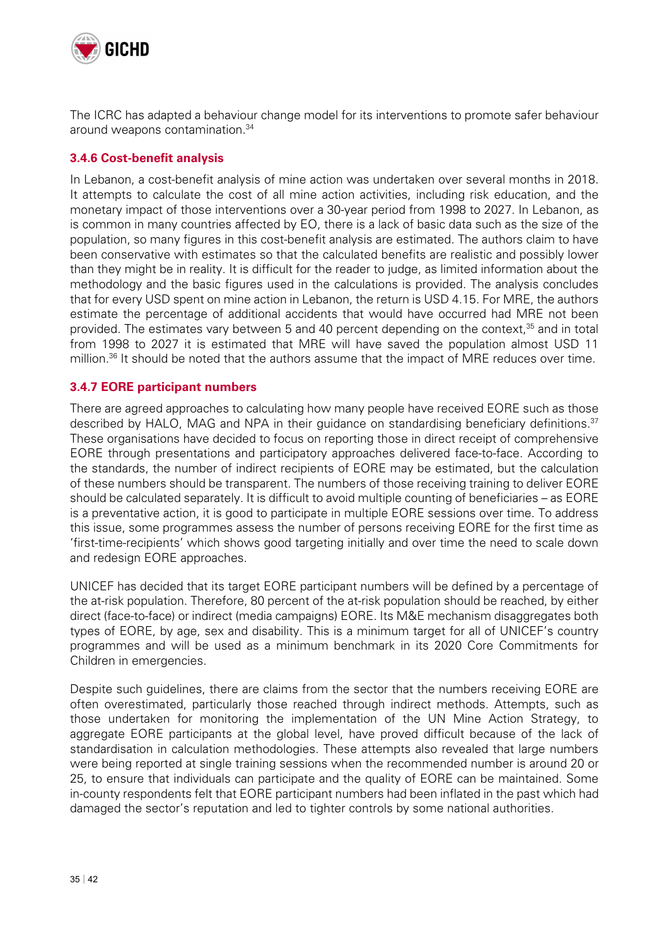

The ICRC has adapted a behaviour change model for its interventions to promote safer behaviour around weapons contamination.34

#### **3.4.6 Cost-benefit analysis**

In Lebanon, a cost-benefit analysis of mine action was undertaken over several months in 2018. It attempts to calculate the cost of all mine action activities, including risk education, and the monetary impact of those interventions over a 30-year period from 1998 to 2027. In Lebanon, as is common in many countries affected by EO, there is a lack of basic data such as the size of the population, so many figures in this cost-benefit analysis are estimated. The authors claim to have been conservative with estimates so that the calculated benefits are realistic and possibly lower than they might be in reality. It is difficult for the reader to judge, as limited information about the methodology and the basic figures used in the calculations is provided. The analysis concludes that for every USD spent on mine action in Lebanon, the return is USD 4.15. For MRE, the authors estimate the percentage of additional accidents that would have occurred had MRE not been provided. The estimates vary between 5 and 40 percent depending on the context,<sup>35</sup> and in total from 1998 to 2027 it is estimated that MRE will have saved the population almost USD 11 million. $36$  It should be noted that the authors assume that the impact of MRE reduces over time.

#### **3.4.7 EORE participant numbers**

There are agreed approaches to calculating how many people have received EORE such as those described by HALO, MAG and NPA in their guidance on standardising beneficiary definitions.<sup>37</sup> These organisations have decided to focus on reporting those in direct receipt of comprehensive EORE through presentations and participatory approaches delivered face-to-face. According to the standards, the number of indirect recipients of EORE may be estimated, but the calculation of these numbers should be transparent. The numbers of those receiving training to deliver EORE should be calculated separately. It is difficult to avoid multiple counting of beneficiaries – as EORE is a preventative action, it is good to participate in multiple EORE sessions over time. To address this issue, some programmes assess the number of persons receiving EORE for the first time as 'first-time-recipients' which shows good targeting initially and over time the need to scale down and redesign EORE approaches.

UNICEF has decided that its target EORE participant numbers will be defined by a percentage of the at-risk population. Therefore, 80 percent of the at-risk population should be reached, by either direct (face-to-face) or indirect (media campaigns) EORE. Its M&E mechanism disaggregates both types of EORE, by age, sex and disability. This is a minimum target for all of UNICEF's country programmes and will be used as a minimum benchmark in its 2020 Core Commitments for Children in emergencies.

Despite such guidelines, there are claims from the sector that the numbers receiving EORE are often overestimated, particularly those reached through indirect methods. Attempts, such as those undertaken for monitoring the implementation of the UN Mine Action Strategy, to aggregate EORE participants at the global level, have proved difficult because of the lack of standardisation in calculation methodologies. These attempts also revealed that large numbers were being reported at single training sessions when the recommended number is around 20 or 25, to ensure that individuals can participate and the quality of EORE can be maintained. Some in-county respondents felt that EORE participant numbers had been inflated in the past which had damaged the sector's reputation and led to tighter controls by some national authorities.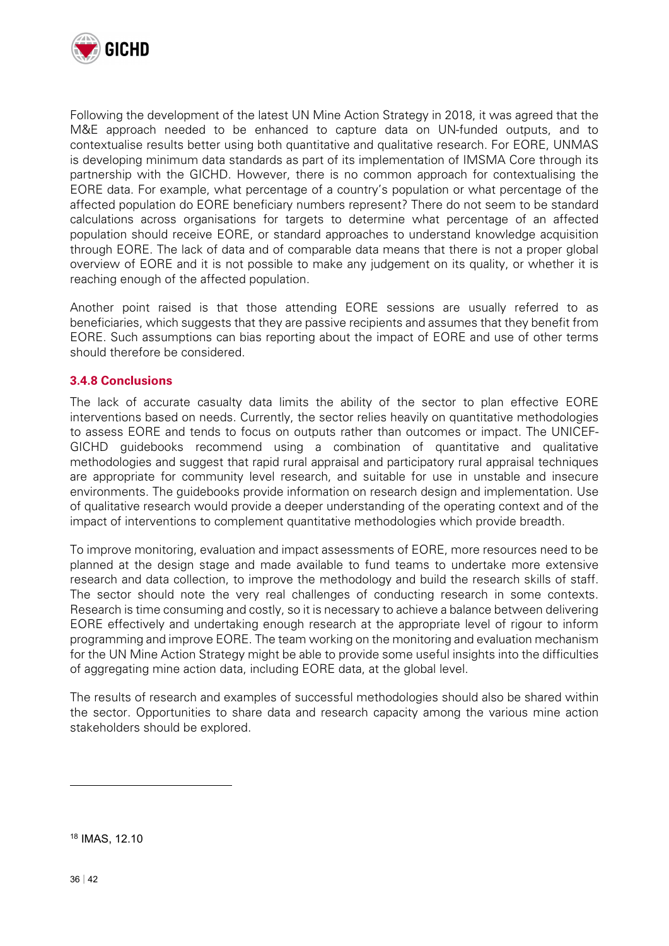

Following the development of the latest UN Mine Action Strategy in 2018, it was agreed that the M&E approach needed to be enhanced to capture data on UN-funded outputs, and to contextualise results better using both quantitative and qualitative research. For EORE, UNMAS is developing minimum data standards as part of its implementation of IMSMA Core through its partnership with the GICHD. However, there is no common approach for contextualising the EORE data. For example, what percentage of a country's population or what percentage of the affected population do EORE beneficiary numbers represent? There do not seem to be standard calculations across organisations for targets to determine what percentage of an affected population should receive EORE, or standard approaches to understand knowledge acquisition through EORE. The lack of data and of comparable data means that there is not a proper global overview of EORE and it is not possible to make any judgement on its quality, or whether it is reaching enough of the affected population.

Another point raised is that those attending EORE sessions are usually referred to as beneficiaries, which suggests that they are passive recipients and assumes that they benefit from EORE. Such assumptions can bias reporting about the impact of EORE and use of other terms should therefore be considered.

#### **3.4.8 Conclusions**

The lack of accurate casualty data limits the ability of the sector to plan effective EORE interventions based on needs. Currently, the sector relies heavily on quantitative methodologies to assess EORE and tends to focus on outputs rather than outcomes or impact. The UNICEF-GICHD guidebooks recommend using a combination of quantitative and qualitative methodologies and suggest that rapid rural appraisal and participatory rural appraisal techniques are appropriate for community level research, and suitable for use in unstable and insecure environments. The guidebooks provide information on research design and implementation. Use of qualitative research would provide a deeper understanding of the operating context and of the impact of interventions to complement quantitative methodologies which provide breadth.

To improve monitoring, evaluation and impact assessments of EORE, more resources need to be planned at the design stage and made available to fund teams to undertake more extensive research and data collection, to improve the methodology and build the research skills of staff. The sector should note the very real challenges of conducting research in some contexts. Research is time consuming and costly, so it is necessary to achieve a balance between delivering EORE effectively and undertaking enough research at the appropriate level of rigour to inform programming and improve EORE. The team working on the monitoring and evaluation mechanism for the UN Mine Action Strategy might be able to provide some useful insights into the difficulties of aggregating mine action data, including EORE data, at the global level.

The results of research and examples of successful methodologies should also be shared within the sector. Opportunities to share data and research capacity among the various mine action stakeholders should be explored.

18 IMAS, 12.10

 $\overline{a}$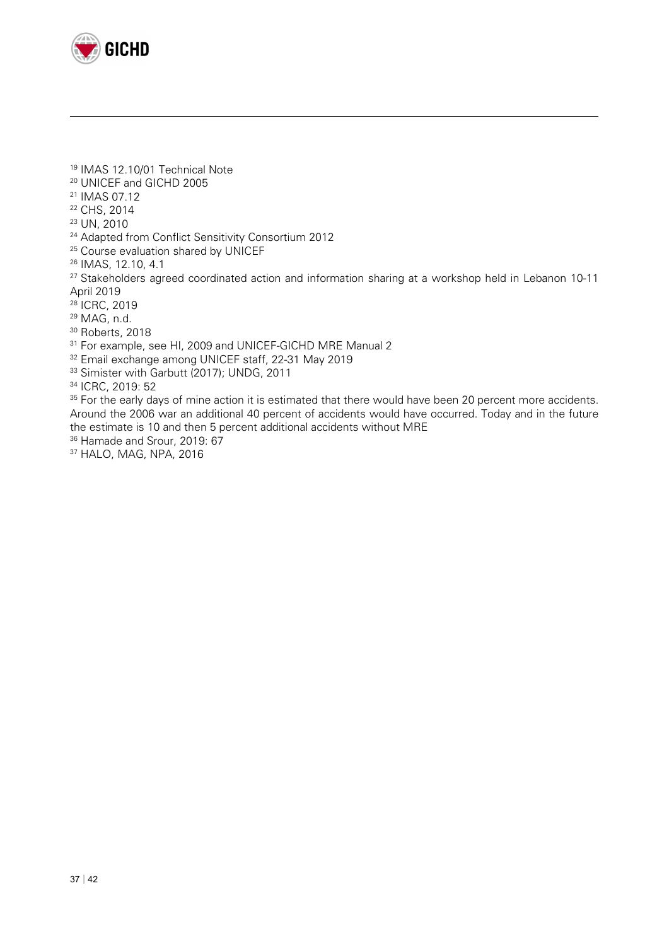

- 19 IMAS 12.10/01 Technical Note
- 20 UNICEF and GICHD 2005
- 21 IMAS 07.12

- 22 CHS, 2014
- 23 UN, 2010
- <sup>24</sup> Adapted from Conflict Sensitivity Consortium 2012
- <sup>25</sup> Course evaluation shared by UNICEF
- 26 IMAS, 12.10, 4.1
- <sup>27</sup> Stakeholders agreed coordinated action and information sharing at a workshop held in Lebanon 10-11 April 2019
- 28 ICRC, 2019
- 29 MAG, n.d.
- <sup>30</sup> Roberts, 2018
- <sup>31</sup> For example, see HI, 2009 and UNICEF-GICHD MRE Manual 2
- <sup>32</sup> Email exchange among UNICEF staff, 22-31 May 2019<br><sup>33</sup> Simister with Garbutt (2017); UNDG, 2011
- 

34 ICRC, 2019: 52

<sup>35</sup> For the early days of mine action it is estimated that there would have been 20 percent more accidents. Around the 2006 war an additional 40 percent of accidents would have occurred. Today and in the future the estimate is 10 and then 5 percent additional accidents without MRE <sup>36</sup> Hamade and Srour, 2019: 67

- 
- 37 HALO, MAG, NPA, 2016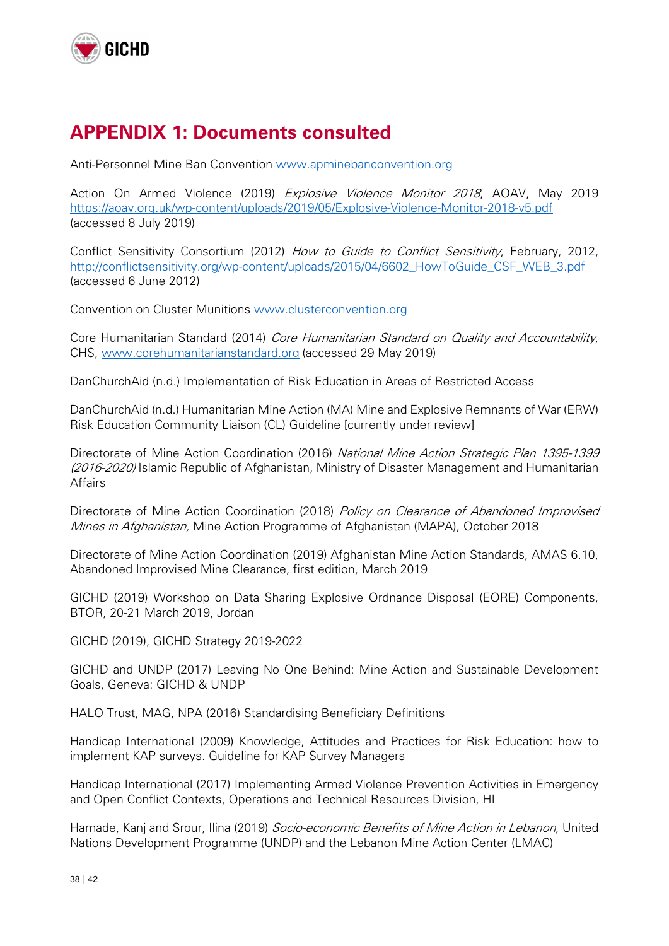

### **APPENDIX 1: Documents consulted**

Anti-Personnel Mine Ban Convention www.apminebanconvention.org

Action On Armed Violence (2019) Explosive Violence Monitor 2018, AOAV, May 2019 https://aoav.org.uk/wp-content/uploads/2019/05/Explosive-Violence-Monitor-2018-v5.pdf (accessed 8 July 2019)

Conflict Sensitivity Consortium (2012) How to Guide to Conflict Sensitivity, February, 2012, http://conflictsensitivity.org/wp-content/uploads/2015/04/6602\_HowToGuide\_CSF\_WEB\_3.pdf (accessed 6 June 2012)

Convention on Cluster Munitions www.clusterconvention.org

Core Humanitarian Standard (2014) Core Humanitarian Standard on Quality and Accountability, CHS, www.corehumanitarianstandard.org (accessed 29 May 2019)

DanChurchAid (n.d.) Implementation of Risk Education in Areas of Restricted Access

DanChurchAid (n.d.) Humanitarian Mine Action (MA) Mine and Explosive Remnants of War (ERW) Risk Education Community Liaison (CL) Guideline [currently under review]

Directorate of Mine Action Coordination (2016) National Mine Action Strategic Plan 1395-1399 (2016-2020) Islamic Republic of Afghanistan, Ministry of Disaster Management and Humanitarian **Affairs** 

Directorate of Mine Action Coordination (2018) Policy on Clearance of Abandoned Improvised Mines in Afghanistan, Mine Action Programme of Afghanistan (MAPA), October 2018

Directorate of Mine Action Coordination (2019) Afghanistan Mine Action Standards, AMAS 6.10, Abandoned Improvised Mine Clearance, first edition, March 2019

GICHD (2019) Workshop on Data Sharing Explosive Ordnance Disposal (EORE) Components, BTOR, 20-21 March 2019, Jordan

GICHD (2019), GICHD Strategy 2019-2022

GICHD and UNDP (2017) Leaving No One Behind: Mine Action and Sustainable Development Goals, Geneva: GICHD & UNDP

HALO Trust, MAG, NPA (2016) Standardising Beneficiary Definitions

Handicap International (2009) Knowledge, Attitudes and Practices for Risk Education: how to implement KAP surveys. Guideline for KAP Survey Managers

Handicap International (2017) Implementing Armed Violence Prevention Activities in Emergency and Open Conflict Contexts, Operations and Technical Resources Division, HI

Hamade, Kanj and Srour, Ilina (2019) Socio-economic Benefits of Mine Action in Lebanon, United Nations Development Programme (UNDP) and the Lebanon Mine Action Center (LMAC)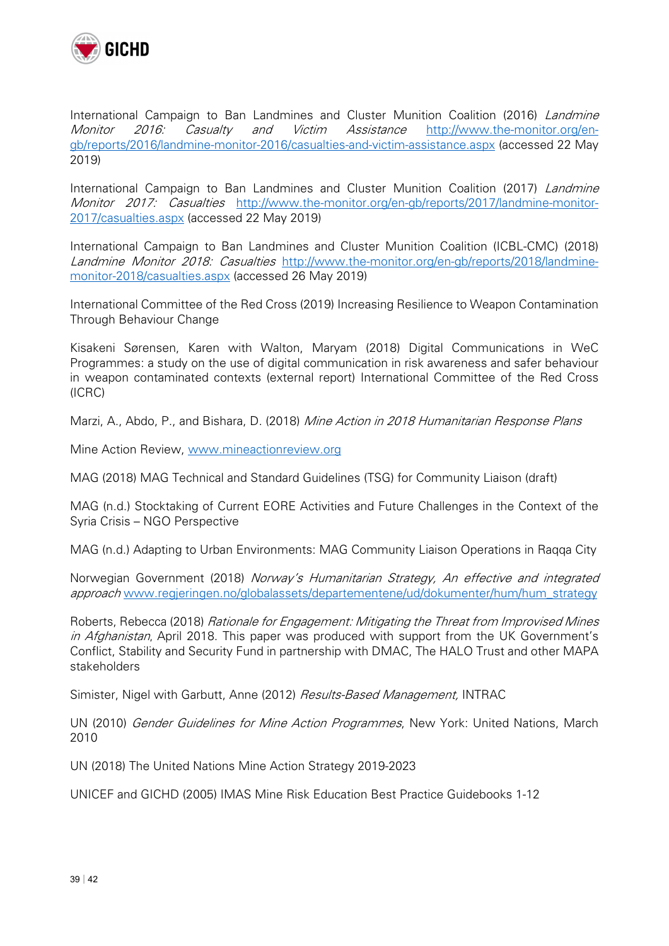

International Campaign to Ban Landmines and Cluster Munition Coalition (2016) Landmine Monitor 2016: Casualty and Victim Assistance http://www.the-monitor.org/engb/reports/2016/landmine-monitor-2016/casualties-and-victim-assistance.aspx (accessed 22 May 2019)

International Campaign to Ban Landmines and Cluster Munition Coalition (2017) Landmine Monitor 2017: Casualties http://www.the-monitor.org/en-gb/reports/2017/landmine-monitor-2017/casualties.aspx (accessed 22 May 2019)

International Campaign to Ban Landmines and Cluster Munition Coalition (ICBL-CMC) (2018) Landmine Monitor 2018: Casualties http://www.the-monitor.org/en-gb/reports/2018/landminemonitor-2018/casualties.aspx (accessed 26 May 2019)

International Committee of the Red Cross (2019) Increasing Resilience to Weapon Contamination Through Behaviour Change

Kisakeni Sørensen, Karen with Walton, Maryam (2018) Digital Communications in WeC Programmes: a study on the use of digital communication in risk awareness and safer behaviour in weapon contaminated contexts (external report) International Committee of the Red Cross (ICRC)

Marzi, A., Abdo, P., and Bishara, D. (2018) Mine Action in 2018 Humanitarian Response Plans

Mine Action Review, www.mineactionreview.org

MAG (2018) MAG Technical and Standard Guidelines (TSG) for Community Liaison (draft)

MAG (n.d.) Stocktaking of Current EORE Activities and Future Challenges in the Context of the Syria Crisis – NGO Perspective

MAG (n.d.) Adapting to Urban Environments: MAG Community Liaison Operations in Raqqa City

Norwegian Government (2018) Norway's Humanitarian Strategy, An effective and integrated approach www.regjeringen.no/globalassets/departementene/ud/dokumenter/hum/hum\_strategy

Roberts, Rebecca (2018) *Rationale for Engagement: Mitigating the Threat from Improvised Mines* in Afghanistan, April 2018. This paper was produced with support from the UK Government's Conflict, Stability and Security Fund in partnership with DMAC, The HALO Trust and other MAPA stakeholders

Simister, Nigel with Garbutt, Anne (2012) Results-Based Management, INTRAC

UN (2010) Gender Guidelines for Mine Action Programmes, New York: United Nations, March 2010

UN (2018) The United Nations Mine Action Strategy 2019-2023

UNICEF and GICHD (2005) IMAS Mine Risk Education Best Practice Guidebooks 1-12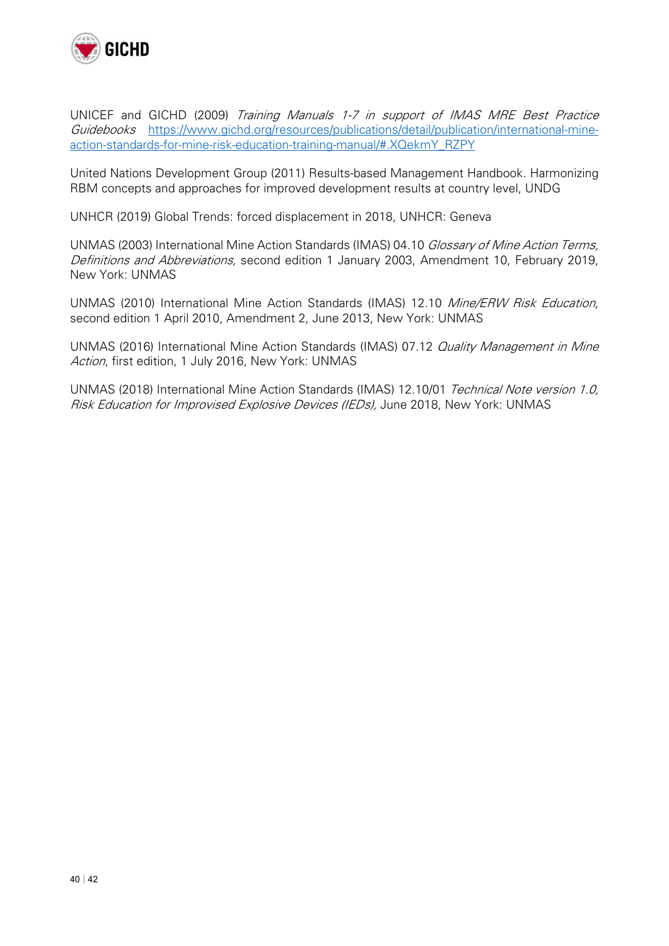

UNICEF and GICHD (2009) Training Manuals 1-7 in support of IMAS MRE Best Practice Guidebooks https://www.gichd.org/resources/publications/detail/publication/international-mineaction-standards-for-mine-risk-education-training-manual/#.XQekmY\_RZPY

United Nations Development Group (2011) Results-based Management Handbook. Harmonizing RBM concepts and approaches for improved development results at country level, UNDG

UNHCR (2019) Global Trends: forced displacement in 2018, UNHCR: Geneva

UNMAS (2003) International Mine Action Standards (IMAS) 04.10 Glossary of Mine Action Terms, Definitions and Abbreviations, second edition 1 January 2003, Amendment 10, February 2019, New York: UNMAS

UNMAS (2010) International Mine Action Standards (IMAS) 12.10 Mine/ERW Risk Education, second edition 1 April 2010, Amendment 2, June 2013, New York: UNMAS

UNMAS (2016) International Mine Action Standards (IMAS) 07.12 Quality Management in Mine Action, first edition, 1 July 2016, New York: UNMAS

UNMAS (2018) International Mine Action Standards (IMAS) 12.10/01 Technical Note version 1.0, Risk Education for Improvised Explosive Devices (IEDs), June 2018, New York: UNMAS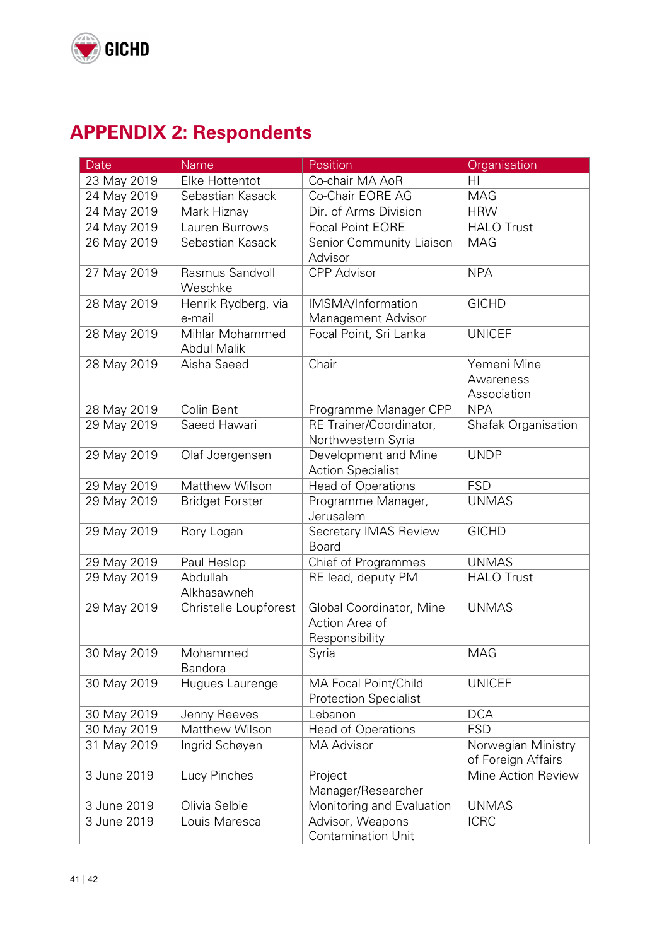

# **APPENDIX 2: Respondents**

| Date        | Name                                  | Position                                                     | Organisation                             |
|-------------|---------------------------------------|--------------------------------------------------------------|------------------------------------------|
| 23 May 2019 | Elke Hottentot                        | Co-chair MA AoR                                              | H <sub>l</sub>                           |
| 24 May 2019 | Sebastian Kasack                      | Co-Chair EORE AG                                             | <b>MAG</b>                               |
| 24 May 2019 | Mark Hiznay                           | Dir. of Arms Division                                        | <b>HRW</b>                               |
| 24 May 2019 | Lauren Burrows                        | Focal Point EORE                                             | <b>HALO Trust</b>                        |
| 26 May 2019 | Sebastian Kasack                      | Senior Community Liaison<br>Advisor                          | <b>MAG</b>                               |
| 27 May 2019 | Rasmus Sandvoll<br>Weschke            | <b>CPP Advisor</b>                                           | <b>NPA</b>                               |
| 28 May 2019 | Henrik Rydberg, via<br>e-mail         | IMSMA/Information<br>Management Advisor                      | <b>GICHD</b>                             |
| 28 May 2019 | Mihlar Mohammed<br><b>Abdul Malik</b> | Focal Point, Sri Lanka                                       | <b>UNICEF</b>                            |
| 28 May 2019 | Aisha Saeed                           | Chair                                                        | Yemeni Mine<br>Awareness<br>Association  |
| 28 May 2019 | Colin Bent                            | Programme Manager CPP                                        | <b>NPA</b>                               |
| 29 May 2019 | Saeed Hawari                          | RE Trainer/Coordinator,<br>Northwestern Syria                | Shafak Organisation                      |
| 29 May 2019 | Olaf Joergensen                       | Development and Mine<br><b>Action Specialist</b>             | <b>UNDP</b>                              |
| 29 May 2019 | Matthew Wilson                        | <b>Head of Operations</b>                                    | <b>FSD</b>                               |
| 29 May 2019 | <b>Bridget Forster</b>                | Programme Manager,<br>Jerusalem                              | <b>UNMAS</b>                             |
| 29 May 2019 | Rory Logan                            | Secretary IMAS Review<br><b>Board</b>                        | <b>GICHD</b>                             |
| 29 May 2019 | Paul Heslop                           | Chief of Programmes                                          | <b>UNMAS</b>                             |
| 29 May 2019 | Abdullah<br>Alkhasawneh               | RE lead, deputy PM                                           | <b>HALO Trust</b>                        |
| 29 May 2019 | Christelle Loupforest                 | Global Coordinator, Mine<br>Action Area of<br>Responsibility | <b>UNMAS</b>                             |
| 30 May 2019 | Mohammed<br>Bandora                   | Syria                                                        | <b>MAG</b>                               |
| 30 May 2019 | Hugues Laurenge                       | MA Focal Point/Child<br><b>Protection Specialist</b>         | <b>UNICEF</b>                            |
| 30 May 2019 | Jenny Reeves                          | Lebanon                                                      | <b>DCA</b>                               |
| 30 May 2019 | Matthew Wilson                        | <b>Head of Operations</b>                                    | <b>FSD</b>                               |
| 31 May 2019 | Ingrid Schøyen                        | <b>MA Advisor</b>                                            | Norwegian Ministry<br>of Foreign Affairs |
| 3 June 2019 | Lucy Pinches                          | Project<br>Manager/Researcher                                | Mine Action Review                       |
| 3 June 2019 | Olivia Selbie                         | Monitoring and Evaluation                                    | <b>UNMAS</b>                             |
| 3 June 2019 | Louis Maresca                         | Advisor, Weapons<br><b>Contamination Unit</b>                | <b>ICRC</b>                              |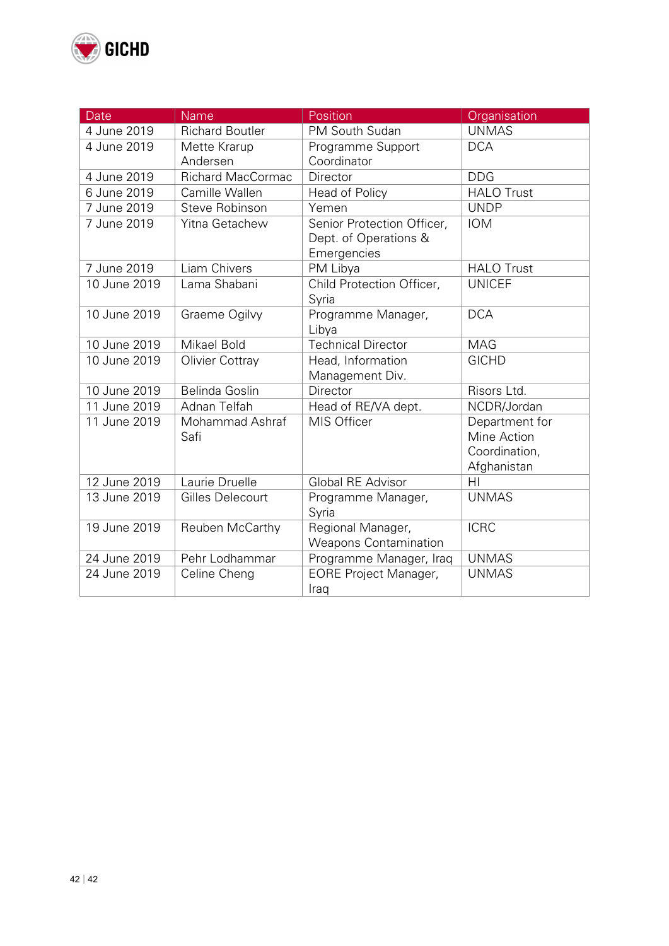

| Date         | <b>Name</b>              | Position                                                           | Organisation                                                  |
|--------------|--------------------------|--------------------------------------------------------------------|---------------------------------------------------------------|
| 4 June 2019  | <b>Richard Boutler</b>   | PM South Sudan                                                     | <b>UNMAS</b>                                                  |
| 4 June 2019  | Mette Krarup             | Programme Support                                                  | <b>DCA</b>                                                    |
|              | Andersen                 | Coordinator                                                        |                                                               |
| 4 June 2019  | <b>Richard MacCormac</b> | Director                                                           | <b>DDG</b>                                                    |
| 6 June 2019  | Camille Wallen           | Head of Policy                                                     | <b>HALO Trust</b>                                             |
| 7 June 2019  | <b>Steve Robinson</b>    | Yemen                                                              | <b>UNDP</b>                                                   |
| 7 June 2019  | Yitna Getachew           | Senior Protection Officer,<br>Dept. of Operations &<br>Emergencies | <b>IOM</b>                                                    |
| 7 June 2019  | Liam Chivers             | PM Libya                                                           | <b>HALO Trust</b>                                             |
| 10 June 2019 | Lama Shabani             | Child Protection Officer,<br>Syria                                 | <b>UNICEF</b>                                                 |
| 10 June 2019 | Graeme Ogilvy            | Programme Manager,<br>Libya                                        | <b>DCA</b>                                                    |
| 10 June 2019 | Mikael Bold              | <b>Technical Director</b>                                          | <b>MAG</b>                                                    |
| 10 June 2019 | <b>Olivier Cottray</b>   | Head, Information<br>Management Div.                               | <b>GICHD</b>                                                  |
| 10 June 2019 | Belinda Goslin           | Director                                                           | Risors Ltd.                                                   |
| 11 June 2019 | Adnan Telfah             | Head of RE/VA dept.                                                | NCDR/Jordan                                                   |
| 11 June 2019 | Mohammad Ashraf<br>Safi  | MIS Officer                                                        | Department for<br>Mine Action<br>Coordination,<br>Afghanistan |
| 12 June 2019 | Laurie Druelle           | <b>Global RE Advisor</b>                                           | HI                                                            |
| 13 June 2019 | Gilles Delecourt         | Programme Manager,<br>Syria                                        | <b>UNMAS</b>                                                  |
| 19 June 2019 | Reuben McCarthy          | Regional Manager,<br><b>Weapons Contamination</b>                  | <b>ICRC</b>                                                   |
| 24 June 2019 | Pehr Lodhammar           | Programme Manager, Iraq                                            | <b>UNMAS</b>                                                  |
| 24 June 2019 | Celine Cheng             | <b>EORE Project Manager,</b><br>Iraq                               | <b>UNMAS</b>                                                  |